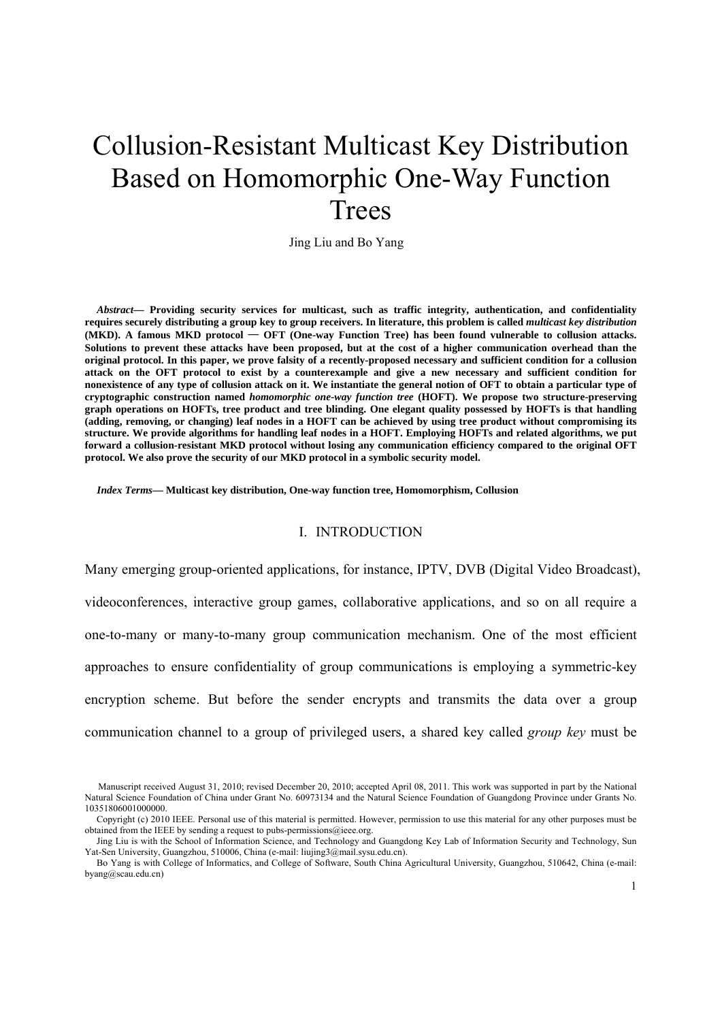# Collusion-Resistant Multicast Key Distribution Based on Homomorphic One-Way Function Trees

Jing Liu and Bo Yang

*Abstract***— Providing security services for multicast, such as traffic integrity, authentication, and confidentiality requires securely distributing a group key to group receivers. In literature, this problem is called** *multicast key distribution* **(MKD). A famous MKD protocol** — **OFT (One-way Function Tree) has been found vulnerable to collusion attacks. Solutions to prevent these attacks have been proposed, but at the cost of a higher communication overhead than the original protocol. In this paper, we prove falsity of a recently-proposed necessary and sufficient condition for a collusion attack on the OFT protocol to exist by a counterexample and give a new necessary and sufficient condition for nonexistence of any type of collusion attack on it. We instantiate the general notion of OFT to obtain a particular type of cryptographic construction named** *homomorphic one-way function tree* **(HOFT). We propose two structure-preserving graph operations on HOFTs, tree product and tree blinding. One elegant quality possessed by HOFTs is that handling (adding, removing, or changing) leaf nodes in a HOFT can be achieved by using tree product without compromising its structure. We provide algorithms for handling leaf nodes in a HOFT. Employing HOFTs and related algorithms, we put forward a collusion-resistant MKD protocol without losing any communication efficiency compared to the original OFT protocol. We also prove the security of our MKD protocol in a symbolic security model.** 

*Index Terms***— Multicast key distribution, One-way function tree, Homomorphism, Collusion** 

#### I. INTRODUCTION

Many emerging group-oriented applications, for instance, IPTV, DVB (Digital Video Broadcast), videoconferences, interactive group games, collaborative applications, and so on all require a one-to-many or many-to-many group communication mechanism. One of the most efficient approaches to ensure confidentiality of group communications is employing a symmetric-key encryption scheme. But before the sender encrypts and transmits the data over a group communication channel to a group of privileged users, a shared key called *group key* must be

Manuscript received August 31, 2010; revised December 20, 2010; accepted April 08, 2011. This work was supported in part by the National Natural Science Foundation of China under Grant No. 60973134 and the Natural Science Foundation of Guangdong Province under Grants No. 10351806001000000.

Copyright (c) 2010 IEEE. Personal use of this material is permitted. However, permission to use this material for any other purposes must be obtained from the IEEE by sending a request to pubs-permissions@ieee.org.

Jing Liu is with the School of Information Science, and Technology and Guangdong Key Lab of Information Security and Technology, Sun Yat-Sen University, Guangzhou, 510006, China (e-mail: liujing3@mail.sysu.edu.cn).

Bo Yang is with College of Informatics, and College of Software, South China Agricultural University, Guangzhou, 510642, China (e-mail: byang@scau.edu.cn)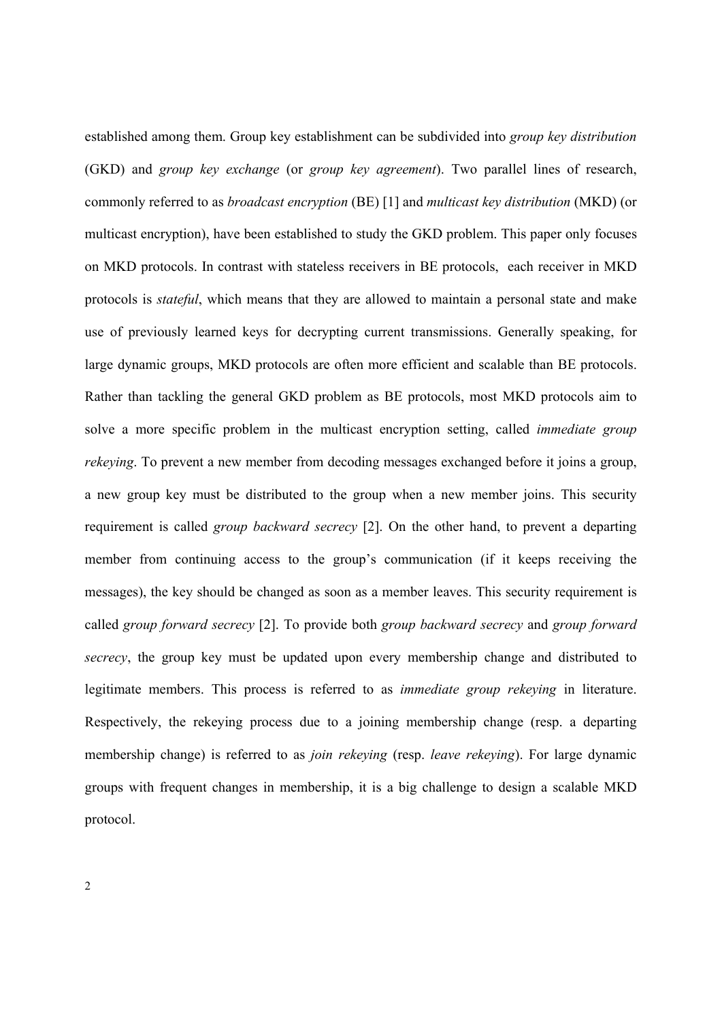established among them. Group key establishment can be subdivided into *group key distribution* (GKD) and *group key exchange* (or *group key agreement*). Two parallel lines of research, commonly referred to as *broadcast encryption* (BE) [1] and *multicast key distribution* (MKD) (or multicast encryption), have been established to study the GKD problem. This paper only focuses on MKD protocols. In contrast with stateless receivers in BE protocols, each receiver in MKD protocols is *stateful*, which means that they are allowed to maintain a personal state and make use of previously learned keys for decrypting current transmissions. Generally speaking, for large dynamic groups, MKD protocols are often more efficient and scalable than BE protocols. Rather than tackling the general GKD problem as BE protocols, most MKD protocols aim to solve a more specific problem in the multicast encryption setting, called *immediate group rekeying*. To prevent a new member from decoding messages exchanged before it joins a group, a new group key must be distributed to the group when a new member joins. This security requirement is called *group backward secrecy* [2]. On the other hand, to prevent a departing member from continuing access to the group's communication (if it keeps receiving the messages), the key should be changed as soon as a member leaves. This security requirement is called *group forward secrecy* [2]. To provide both *group backward secrecy* and *group forward secrecy*, the group key must be updated upon every membership change and distributed to legitimate members. This process is referred to as *immediate group rekeying* in literature. Respectively, the rekeying process due to a joining membership change (resp. a departing membership change) is referred to as *join rekeying* (resp. *leave rekeying*). For large dynamic groups with frequent changes in membership, it is a big challenge to design a scalable MKD protocol.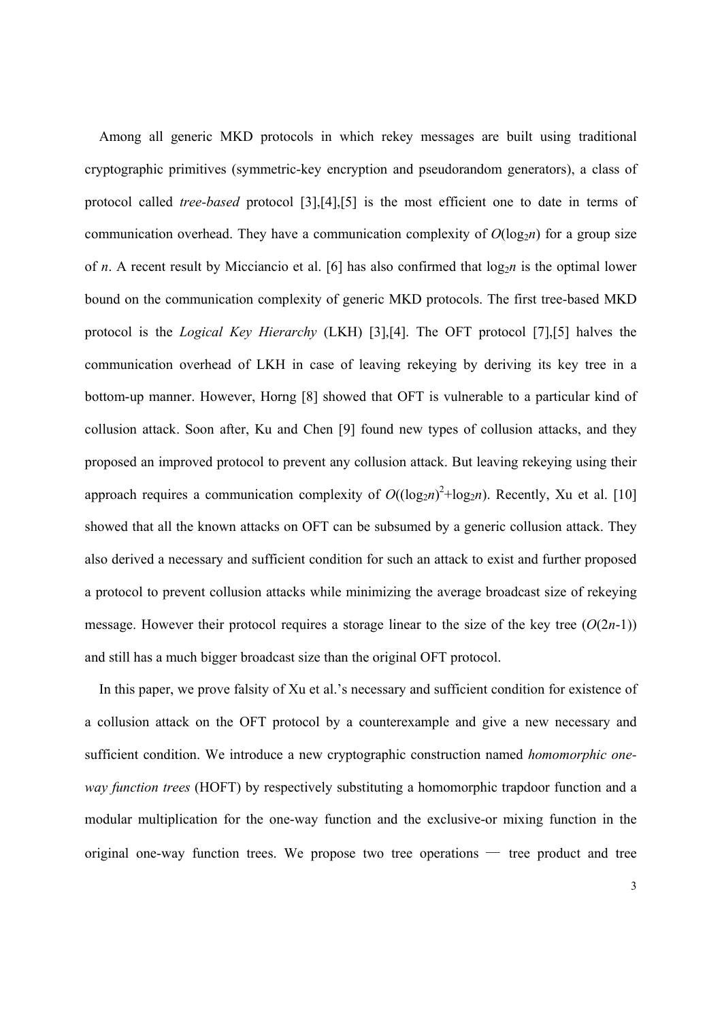Among all generic MKD protocols in which rekey messages are built using traditional cryptographic primitives (symmetric-key encryption and pseudorandom generators), a class of protocol called *tree-based* protocol [3],[4],[5] is the most efficient one to date in terms of communication overhead. They have a communication complexity of  $O(log_2 n)$  for a group size of *n*. A recent result by Micciancio et al. [6] has also confirmed that  $log_2 n$  is the optimal lower bound on the communication complexity of generic MKD protocols. The first tree-based MKD protocol is the *Logical Key Hierarchy* (LKH) [3],[4]. The OFT protocol [7],[5] halves the communication overhead of LKH in case of leaving rekeying by deriving its key tree in a bottom-up manner. However, Horng [8] showed that OFT is vulnerable to a particular kind of collusion attack. Soon after, Ku and Chen [9] found new types of collusion attacks, and they proposed an improved protocol to prevent any collusion attack. But leaving rekeying using their approach requires a communication complexity of  $O((\log_2 n)^2 + \log_2 n)$ . Recently, Xu et al. [10] showed that all the known attacks on OFT can be subsumed by a generic collusion attack. They also derived a necessary and sufficient condition for such an attack to exist and further proposed a protocol to prevent collusion attacks while minimizing the average broadcast size of rekeying message. However their protocol requires a storage linear to the size of the key tree  $(O(2n-1))$ and still has a much bigger broadcast size than the original OFT protocol.

In this paper, we prove falsity of Xu et al.'s necessary and sufficient condition for existence of a collusion attack on the OFT protocol by a counterexample and give a new necessary and sufficient condition. We introduce a new cryptographic construction named *homomorphic oneway function trees* (HOFT) by respectively substituting a homomorphic trapdoor function and a modular multiplication for the one-way function and the exclusive-or mixing function in the original one-way function trees. We propose two tree operations — tree product and tree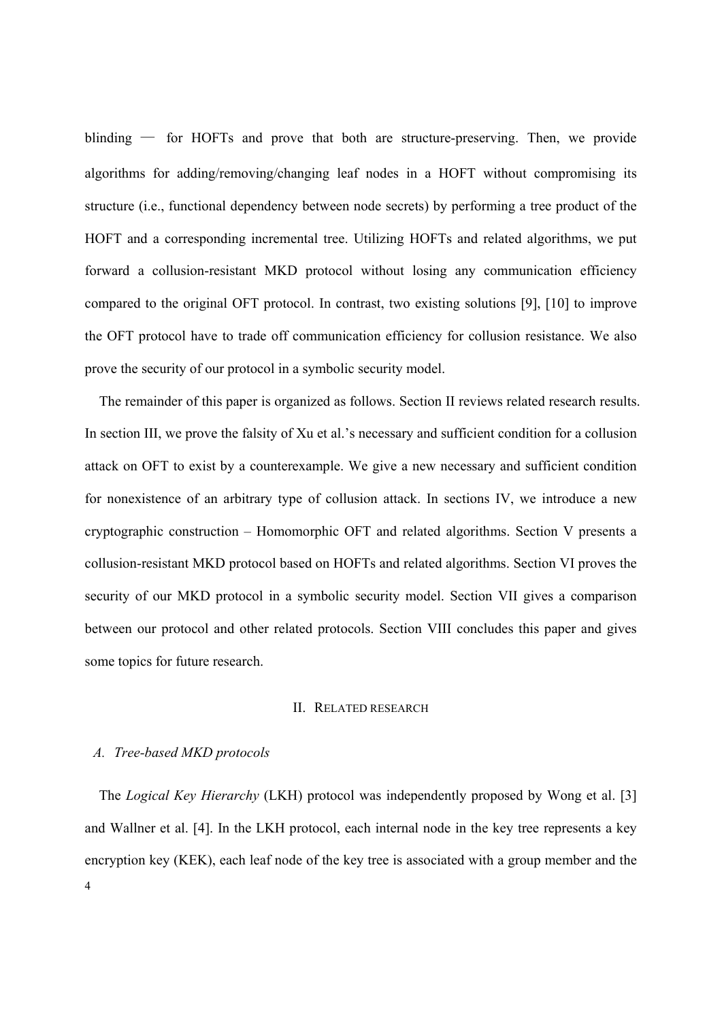blinding — for HOFTs and prove that both are structure-preserving. Then, we provide algorithms for adding/removing/changing leaf nodes in a HOFT without compromising its structure (i.e., functional dependency between node secrets) by performing a tree product of the HOFT and a corresponding incremental tree. Utilizing HOFTs and related algorithms, we put forward a collusion-resistant MKD protocol without losing any communication efficiency compared to the original OFT protocol. In contrast, two existing solutions [9], [10] to improve the OFT protocol have to trade off communication efficiency for collusion resistance. We also prove the security of our protocol in a symbolic security model.

The remainder of this paper is organized as follows. Section II reviews related research results. In section III, we prove the falsity of Xu et al.'s necessary and sufficient condition for a collusion attack on OFT to exist by a counterexample. We give a new necessary and sufficient condition for nonexistence of an arbitrary type of collusion attack. In sections IV, we introduce a new cryptographic construction – Homomorphic OFT and related algorithms. Section V presents a collusion-resistant MKD protocol based on HOFTs and related algorithms. Section VI proves the security of our MKD protocol in a symbolic security model. Section VII gives a comparison between our protocol and other related protocols. Section VIII concludes this paper and gives some topics for future research.

#### II. RELATED RESEARCH

## *A. Tree-based MKD protocols*

4 The *Logical Key Hierarchy* (LKH) protocol was independently proposed by Wong et al. [3] and Wallner et al. [4]. In the LKH protocol, each internal node in the key tree represents a key encryption key (KEK), each leaf node of the key tree is associated with a group member and the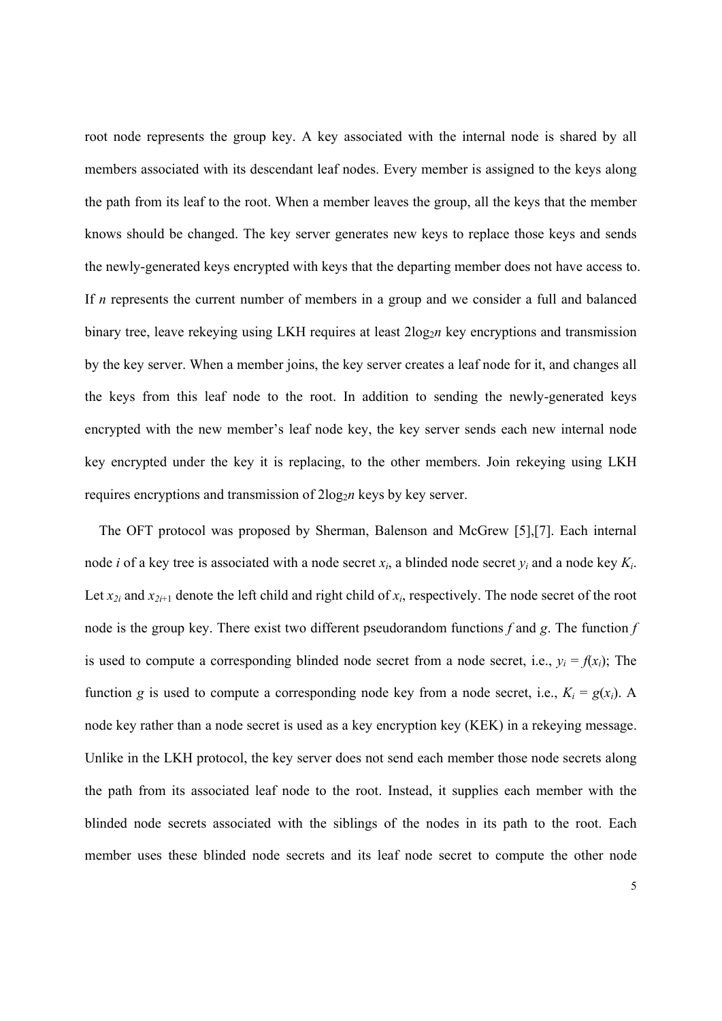root node represents the group key. A key associated with the internal node is shared by all members associated with its descendant leaf nodes. Every member is assigned to the keys along the path from its leaf to the root. When a member leaves the group, all the keys that the member knows should be changed. The key server generates new keys to replace those keys and sends the newly-generated keys encrypted with keys that the departing member does not have access to. If *n* represents the current number of members in a group and we consider a full and balanced binary tree, leave rekeying using LKH requires at least  $2\log_2 n$  key encryptions and transmission by the key server. When a member joins, the key server creates a leaf node for it, and changes all the keys from this leaf node to the root. In addition to sending the newly-generated keys encrypted with the new member's leaf node key, the key server sends each new internal node key encrypted under the key it is replacing, to the other members. Join rekeying using LKH requires encryptions and transmission of  $2\log_2 n$  keys by key server.

The OFT protocol was proposed by Sherman, Balenson and McGrew [5],[7]. Each internal node *i* of a key tree is associated with a node secret *xi*, a blinded node secret *yi* and a node key *Ki*. Let  $x_{2i}$  and  $x_{2i+1}$  denote the left child and right child of  $x_i$ , respectively. The node secret of the root node is the group key. There exist two different pseudorandom functions *f* and *g*. The function *f* is used to compute a corresponding blinded node secret from a node secret, i.e.,  $y_i = f(x_i)$ ; The function *g* is used to compute a corresponding node key from a node secret, i.e.,  $K_i = g(x_i)$ . A node key rather than a node secret is used as a key encryption key (KEK) in a rekeying message. Unlike in the LKH protocol, the key server does not send each member those node secrets along the path from its associated leaf node to the root. Instead, it supplies each member with the blinded node secrets associated with the siblings of the nodes in its path to the root. Each member uses these blinded node secrets and its leaf node secret to compute the other node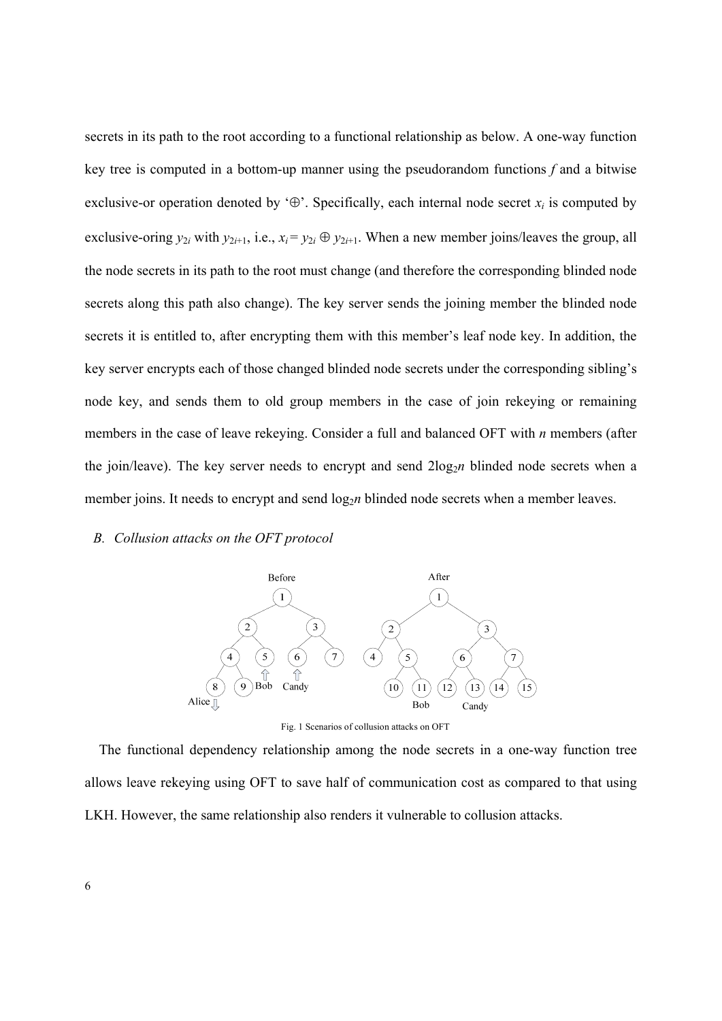secrets in its path to the root according to a functional relationship as below. A one-way function key tree is computed in a bottom-up manner using the pseudorandom functions *f* and a bitwise exclusive-or operation denoted by  $\Theta$ . Specifically, each internal node secret  $x_i$  is computed by exclusive-oring  $y_{2i}$  with  $y_{2i+1}$ , i.e.,  $x_i = y_{2i} \oplus y_{2i+1}$ . When a new member joins/leaves the group, all the node secrets in its path to the root must change (and therefore the corresponding blinded node secrets along this path also change). The key server sends the joining member the blinded node secrets it is entitled to, after encrypting them with this member's leaf node key. In addition, the key server encrypts each of those changed blinded node secrets under the corresponding sibling's node key, and sends them to old group members in the case of join rekeying or remaining members in the case of leave rekeying. Consider a full and balanced OFT with *n* members (after the join/leave). The key server needs to encrypt and send  $2\log_2 n$  blinded node secrets when a member joins. It needs to encrypt and send log<sub>2</sub>*n* blinded node secrets when a member leaves.

#### *B. Collusion attacks on the OFT protocol*





The functional dependency relationship among the node secrets in a one-way function tree allows leave rekeying using OFT to save half of communication cost as compared to that using LKH. However, the same relationship also renders it vulnerable to collusion attacks.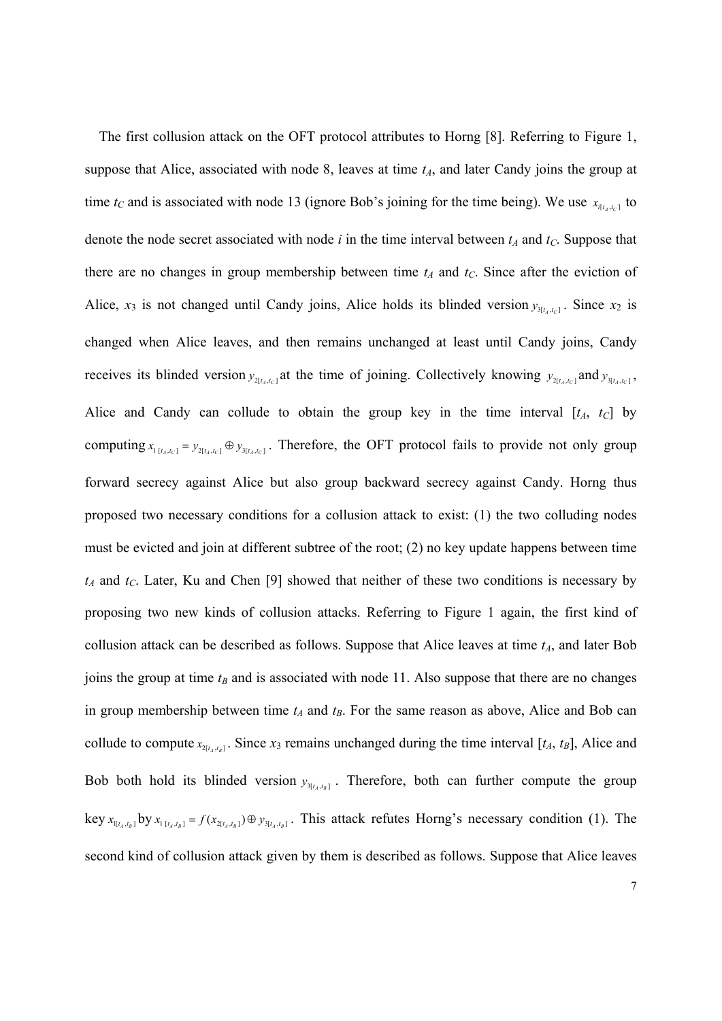The first collusion attack on the OFT protocol attributes to Horng [8]. Referring to Figure 1, suppose that Alice, associated with node 8, leaves at time  $t_A$ , and later Candy joins the group at time  $t_c$  and is associated with node 13 (ignore Bob's joining for the time being). We use  $x_{a}$  to denote the node secret associated with node  $i$  in the time interval between  $t_A$  and  $t_C$ . Suppose that there are no changes in group membership between time  $t_A$  and  $t_C$ . Since after the eviction of Alice,  $x_3$  is not changed until Candy joins, Alice holds its blinded version  $y_{3[t_4,t_6]}$ . Since  $x_2$  is changed when Alice leaves, and then remains unchanged at least until Candy joins, Candy receives its blinded version  $y_{2[t_A,t_C]}$  at the time of joining. Collectively knowing  $y_{2[t_A,t_C]}$  and  $y_{3[t_A,t_C]}$ , Alice and Candy can collude to obtain the group key in the time interval  $[t_A, t_C]$  by computing  $x_1$   $x_2$   $x_3$   $y_4$   $y_5$   $y_6$   $y_7$   $y_7$   $y_8$   $y_9$   $y_9$   $y_1$   $y_2$   $y_3$   $y_4$   $y_7$   $y_8$   $y_9$   $y_9$   $y_9$   $y_9$   $y_9$   $y_9$   $y_9$   $y_9$   $y_9$   $y_9$   $y_9$   $y_9$   $y_9$   $y_9$   $y_9$   $y_9$   $y_9$   $y_9$  forward secrecy against Alice but also group backward secrecy against Candy. Horng thus proposed two necessary conditions for a collusion attack to exist: (1) the two colluding nodes must be evicted and join at different subtree of the root; (2) no key update happens between time  $t_A$  and  $t_C$ . Later, Ku and Chen [9] showed that neither of these two conditions is necessary by proposing two new kinds of collusion attacks. Referring to Figure 1 again, the first kind of collusion attack can be described as follows. Suppose that Alice leaves at time  $t_A$ , and later Bob joins the group at time  $t_B$  and is associated with node 11. Also suppose that there are no changes in group membership between time  $t_A$  and  $t_B$ . For the same reason as above, Alice and Bob can collude to compute  $x_{2[t_i,t_n]}$ . Since  $x_3$  remains unchanged during the time interval  $[t_A, t_B]$ , Alice and Bob both hold its blinded version  $y_{3[t_1,t_2]}$ . Therefore, both can further compute the group key  $x_{\prod_{l} t_A, t_B}$  by  $x_{\prod_{l} t_A, t_B]} = f(x_{\prod_{l} t_A, t_B]} \oplus y_{\prod_{l} t_A, t_B]}$ . This attack refutes Horng's necessary condition (1). The second kind of collusion attack given by them is described as follows. Suppose that Alice leaves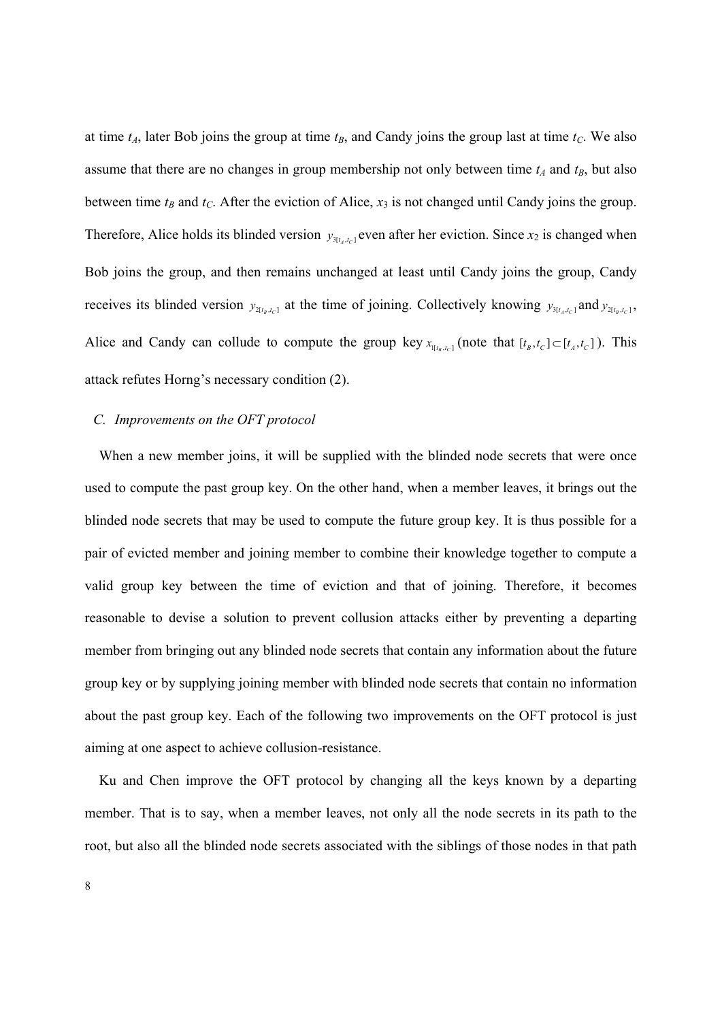at time  $t_A$ , later Bob joins the group at time  $t_B$ , and Candy joins the group last at time  $t_C$ . We also assume that there are no changes in group membership not only between time  $t_A$  and  $t_B$ , but also between time  $t_B$  and  $t_C$ . After the eviction of Alice,  $x_3$  is not changed until Candy joins the group. Therefore, Alice holds its blinded version  $y_{3[t_i,t_{ci}]}$  even after her eviction. Since  $x_2$  is changed when Bob joins the group, and then remains unchanged at least until Candy joins the group, Candy receives its blinded version  $y_{2[t_B,t_C]}$  at the time of joining. Collectively knowing  $y_{3[t_A,t_C]}$  and  $y_{2[t_B,t_C]}$ , Alice and Candy can collude to compute the group key  $x_{\mu_{t_s,t_c}}$  (note that  $[t_s,t_c] \subset [t_s,t_c]$ ). This attack refutes Horng's necessary condition (2).

# *C. Improvements on the OFT protocol*

When a new member joins, it will be supplied with the blinded node secrets that were once used to compute the past group key. On the other hand, when a member leaves, it brings out the blinded node secrets that may be used to compute the future group key. It is thus possible for a pair of evicted member and joining member to combine their knowledge together to compute a valid group key between the time of eviction and that of joining. Therefore, it becomes reasonable to devise a solution to prevent collusion attacks either by preventing a departing member from bringing out any blinded node secrets that contain any information about the future group key or by supplying joining member with blinded node secrets that contain no information about the past group key. Each of the following two improvements on the OFT protocol is just aiming at one aspect to achieve collusion-resistance.

Ku and Chen improve the OFT protocol by changing all the keys known by a departing member. That is to say, when a member leaves, not only all the node secrets in its path to the root, but also all the blinded node secrets associated with the siblings of those nodes in that path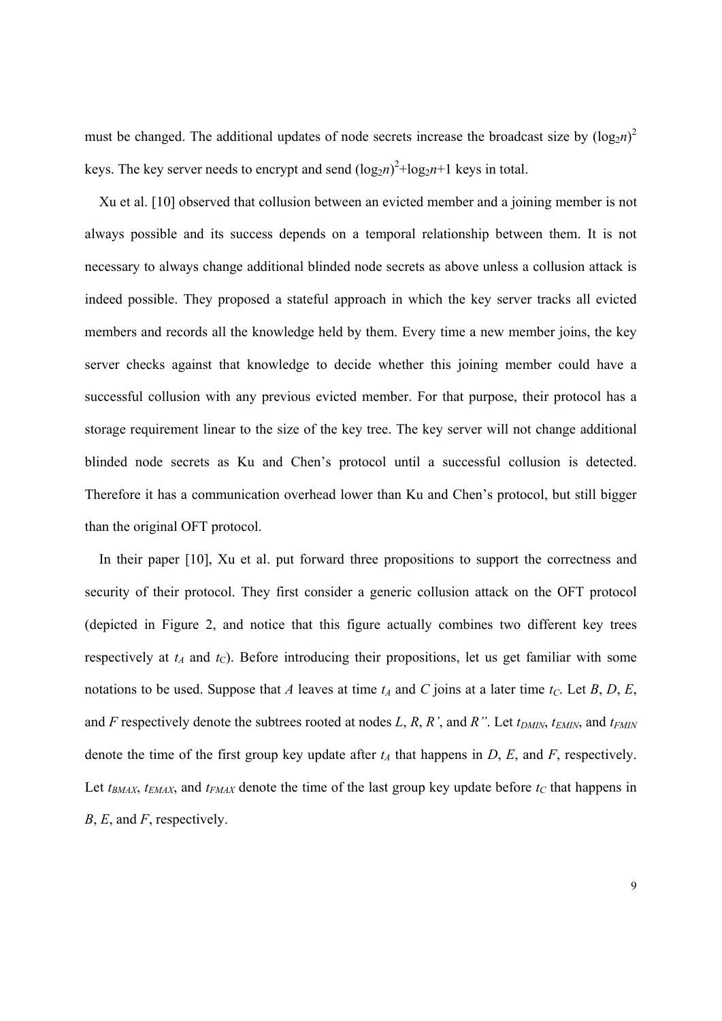must be changed. The additional updates of node secrets increase the broadcast size by  $(\log_2 n)^2$ keys. The key server needs to encrypt and send  $(log_{2}n)^{2} + log_{2}n + 1$  keys in total.

Xu et al. [10] observed that collusion between an evicted member and a joining member is not always possible and its success depends on a temporal relationship between them. It is not necessary to always change additional blinded node secrets as above unless a collusion attack is indeed possible. They proposed a stateful approach in which the key server tracks all evicted members and records all the knowledge held by them. Every time a new member joins, the key server checks against that knowledge to decide whether this joining member could have a successful collusion with any previous evicted member. For that purpose, their protocol has a storage requirement linear to the size of the key tree. The key server will not change additional blinded node secrets as Ku and Chen's protocol until a successful collusion is detected. Therefore it has a communication overhead lower than Ku and Chen's protocol, but still bigger than the original OFT protocol.

In their paper [10], Xu et al. put forward three propositions to support the correctness and security of their protocol. They first consider a generic collusion attack on the OFT protocol (depicted in Figure 2, and notice that this figure actually combines two different key trees respectively at  $t_A$  and  $t_C$ ). Before introducing their propositions, let us get familiar with some notations to be used. Suppose that *A* leaves at time  $t_A$  and *C* joins at a later time  $t_C$ . Let *B*, *D*, *E*, and *F* respectively denote the subtrees rooted at nodes *L*, *R*, *R'*, and *R''*. Let  $t_{DMIN}$ ,  $t_{EMIN}$ , and  $t_{FMIN}$ denote the time of the first group key update after  $t_A$  that happens in  $D$ ,  $E$ , and  $F$ , respectively. Let  $t_{BMAX}$ ,  $t_{EMAX}$ , and  $t_{FMAX}$  denote the time of the last group key update before  $t_C$  that happens in *B*, *E*, and *F*, respectively.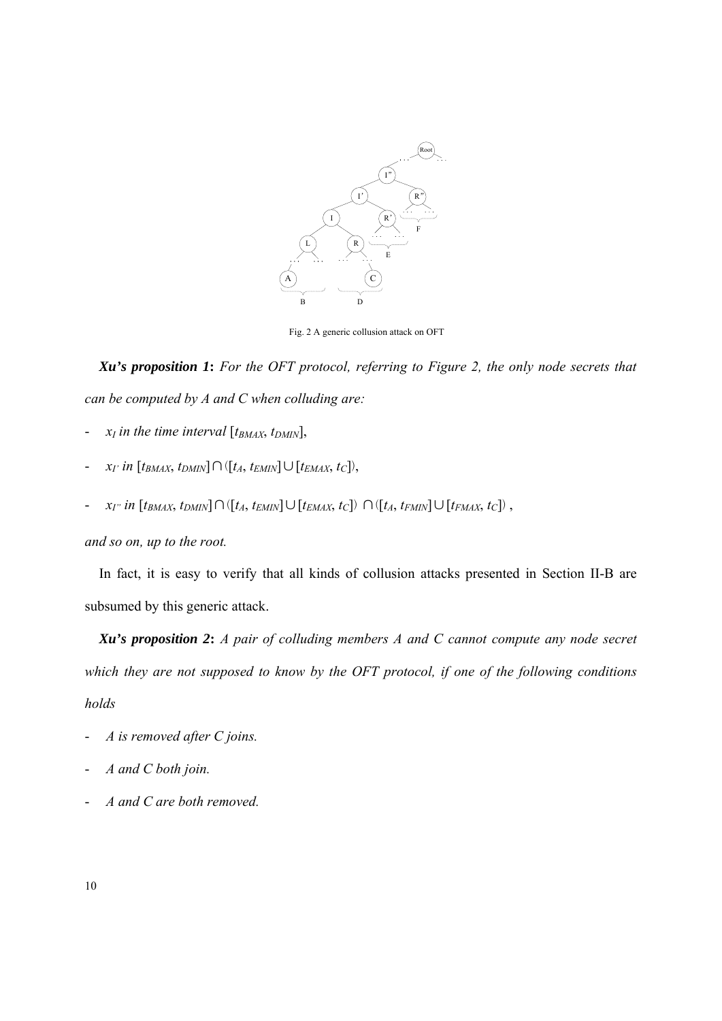

Fig. 2 A generic collusion attack on OFT

*Xu's proposition 1***:** *For the OFT protocol, referring to Figure 2, the only node secrets that can be computed by A and C when colluding are:*

- $x_I$  in the time interval  $[t_{BMAX}, t_{DMIN}],$
- $x_I$ <sup>*in*</sup> [*t<sub>BMAX</sub>*, *t<sub>DMIN</sub>*]∩([*t<sub>A</sub>*, *t<sub>EMIN</sub>*]∪[*t<sub>EMAX</sub>*, *t<sub>C</sub>*]),
- *xI" in* [*tBMAX*, *tDMIN*]∩([*tA*, *tEMIN*]∪[*tEMAX*, *tC*]) ∩([*tA*, *tFMIN*]∪[*tFMAX*, *tC*]) ,

*and so on, up to the root.* 

In fact, it is easy to verify that all kinds of collusion attacks presented in Section II-B are subsumed by this generic attack.

*Xu's proposition 2***:** *A pair of colluding members A and C cannot compute any node secret which they are not supposed to know by the OFT protocol, if one of the following conditions holds* 

- *A is removed after C joins.*
- *A and C both join.*
- *A and C are both removed.*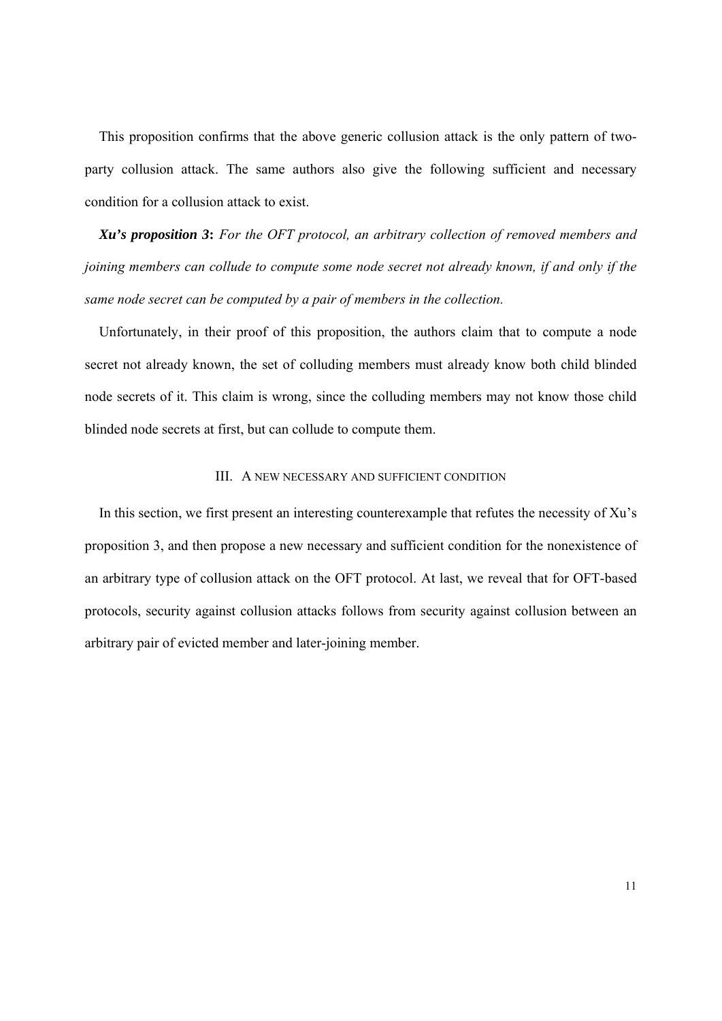This proposition confirms that the above generic collusion attack is the only pattern of twoparty collusion attack. The same authors also give the following sufficient and necessary condition for a collusion attack to exist.

*Xu's proposition 3***:** *For the OFT protocol, an arbitrary collection of removed members and joining members can collude to compute some node secret not already known, if and only if the same node secret can be computed by a pair of members in the collection.*

Unfortunately, in their proof of this proposition, the authors claim that to compute a node secret not already known, the set of colluding members must already know both child blinded node secrets of it. This claim is wrong, since the colluding members may not know those child blinded node secrets at first, but can collude to compute them.

## III. A NEW NECESSARY AND SUFFICIENT CONDITION

In this section, we first present an interesting counterexample that refutes the necessity of Xu's proposition 3, and then propose a new necessary and sufficient condition for the nonexistence of an arbitrary type of collusion attack on the OFT protocol. At last, we reveal that for OFT-based protocols, security against collusion attacks follows from security against collusion between an arbitrary pair of evicted member and later-joining member.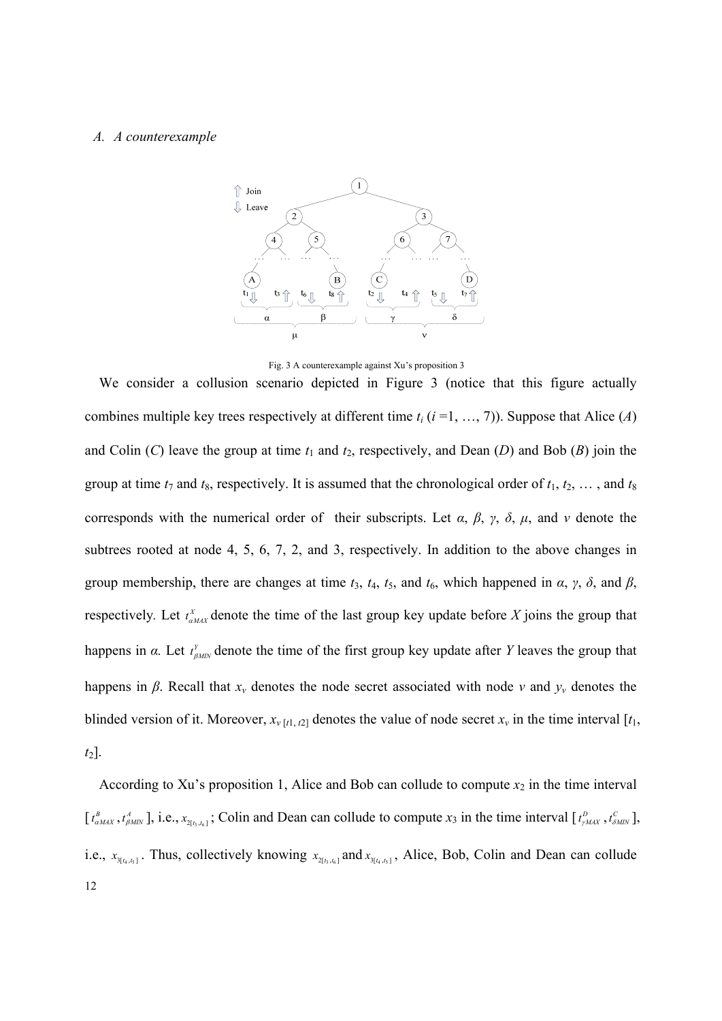#### *A. A counterexample*



Fig. 3 A counterexample against Xu's proposition 3

We consider a collusion scenario depicted in Figure 3 (notice that this figure actually combines multiple key trees respectively at different time  $t_i$  ( $i = 1, ..., 7$ )). Suppose that Alice (*A*) and Colin  $(C)$  leave the group at time  $t_1$  and  $t_2$ , respectively, and Dean  $(D)$  and Bob  $(B)$  join the group at time  $t_7$  and  $t_8$ , respectively. It is assumed that the chronological order of  $t_1, t_2, \ldots$ , and  $t_8$ corresponds with the numerical order of their subscripts. Let *α*, *β*, *γ*, *δ*, *μ*, and *ν* denote the subtrees rooted at node 4, 5, 6, 7, 2, and 3, respectively. In addition to the above changes in group membership, there are changes at time  $t_3$ ,  $t_4$ ,  $t_5$ , and  $t_6$ , which happened in  $\alpha$ ,  $\gamma$ ,  $\delta$ , and  $\beta$ , respectively. Let  $t_{a_{MAX}}^X$  denote the time of the last group key update before X joins the group that happens in  $\alpha$ . Let  $t_{\text{pump}}^Y$  denote the time of the first group key update after *Y* leaves the group that happens in  $\beta$ . Recall that  $x_v$  denotes the node secret associated with node *v* and  $y_v$  denotes the blinded version of it. Moreover,  $x_{v}[t_1, t_2]$  denotes the value of node secret  $x_v$  in the time interval  $[t_1, t_2]$ *t*2].

12 According to Xu's proposition 1, Alice and Bob can collude to compute  $x_2$  in the time interval  $[t_{\alpha_{MAX}}^B, t_{\beta_{MIN}}^A]$ , i.e.,  $x_{2[t_3,t_6]}$ ; Colin and Dean can collude to compute  $x_3$  in the time interval  $[t_{\gamma_{MAX}}^D, t_{\delta_{MIN}}^C]$ , i.e.,  $x_{3[t_4,t_5]}$ . Thus, collectively knowing  $x_{2[t_3,t_6]}$  and  $x_{3[t_4,t_5]}$ , Alice, Bob, Colin and Dean can collude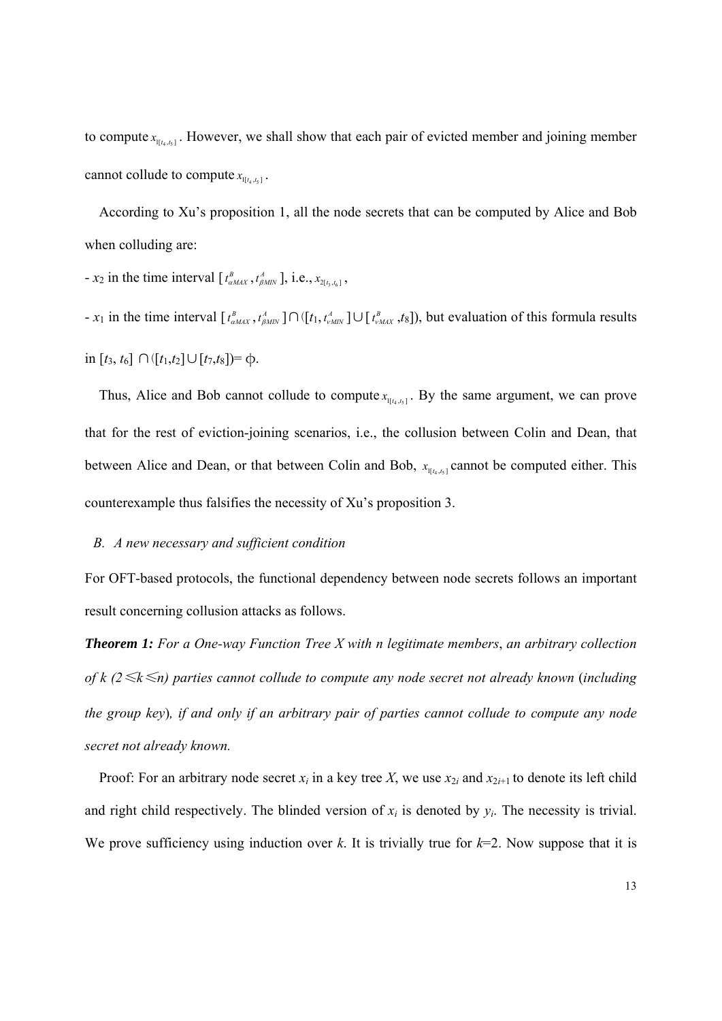to compute  $x_{\text{max}}$ . However, we shall show that each pair of evicted member and joining member cannot collude to compute  $x_{\text{tr}_{4, t_{5}}}$ .

According to Xu's proposition 1, all the node secrets that can be computed by Alice and Bob when colluding are:

 $- x_2$  in the time interval  $[t_{\alpha MAX}^B, t_{\beta MIN}^A]$ , i.e.,  $x_{2[t_3,t_6]}$ ,

-  $x_1$  in the time interval  $[t_{\alpha MAX}^B, t_{\beta MIX}^A] \cap ([t_1, t_{\gamma MIX}^A] \cup [t_{\gamma MAX}^B, t_8])$ , but evaluation of this formula results in [*t*3, *t*6] ∩([*t*1,*t*2]∪[*t*7,*t*8])= φ.

Thus, Alice and Bob cannot collude to compute  $x_{\text{max}}$ . By the same argument, we can prove that for the rest of eviction-joining scenarios, i.e., the collusion between Colin and Dean, that between Alice and Dean, or that between Colin and Bob,  $x_{\text{max}}$  cannot be computed either. This counterexample thus falsifies the necessity of Xu's proposition 3.

#### *B. A new necessary and sufficient condition*

For OFT-based protocols, the functional dependency between node secrets follows an important result concerning collusion attacks as follows.

*Theorem 1: For a One-way Function Tree X with n legitimate members*, *an arbitrary collection of k (2*≤*k*≤*n) parties cannot collude to compute any node secret not already known* (*including the group key*)*, if and only if an arbitrary pair of parties cannot collude to compute any node secret not already known.*

Proof: For an arbitrary node secret  $x_i$  in a key tree X, we use  $x_{2i}$  and  $x_{2i+1}$  to denote its left child and right child respectively. The blinded version of  $x_i$  is denoted by  $y_i$ . The necessity is trivial. We prove sufficiency using induction over  $k$ . It is trivially true for  $k=2$ . Now suppose that it is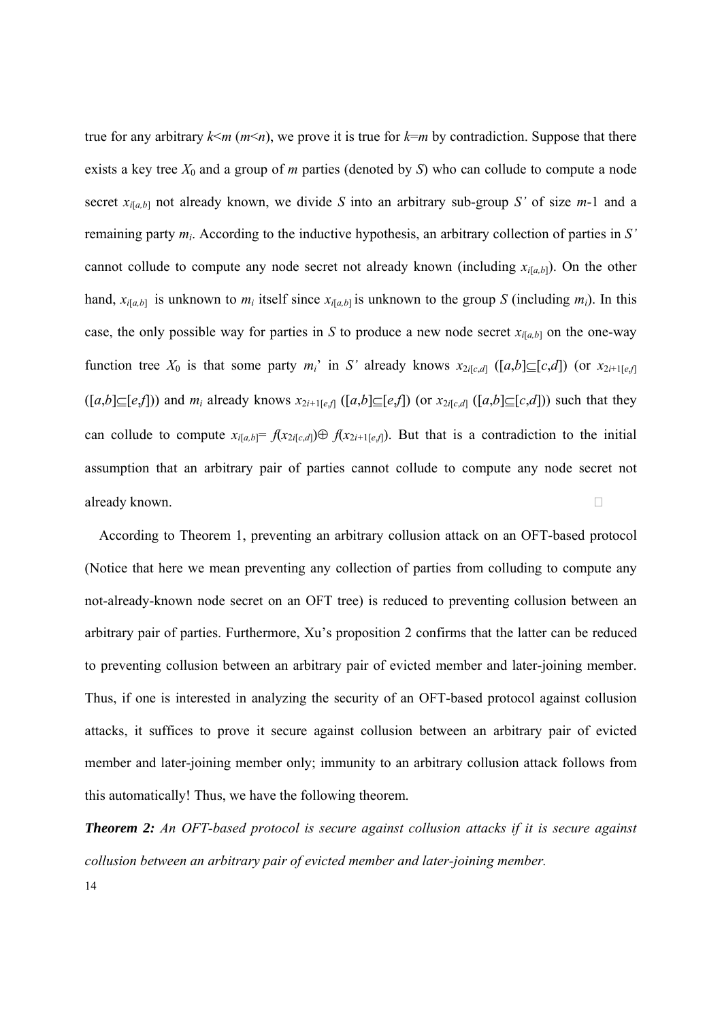true for any arbitrary  $k \le m$  ( $m \le n$ ), we prove it is true for  $k=m$  by contradiction. Suppose that there exists a key tree *X*0 and a group of *m* parties (denoted by *S*) who can collude to compute a node secret  $x_{i[a,b]}$  not already known, we divide *S* into an arbitrary sub-group *S'* of size *m*-1 and a remaining party *mi*. According to the inductive hypothesis, an arbitrary collection of parties in *S'* cannot collude to compute any node secret not already known (including  $x_{i[a,b]}$ ). On the other hand,  $x_{i[a,b]}$  is unknown to  $m_i$  itself since  $x_{i[a,b]}$  is unknown to the group *S* (including  $m_i$ ). In this case, the only possible way for parties in *S* to produce a new node secret  $x_{i[a,b]}$  on the one-way function tree  $X_0$  is that some party  $m_i$ <sup>'</sup> in *S*' already knows  $x_{2i[c,d]}$  ([a,b] $\subseteq$ [c,d]) (or  $x_{2i+1[e,f]}$  $([a,b] \subseteq [e,f])$  and  $m_i$  already knows  $x_{2i+1[e,f]}([a,b] \subseteq [e,f])$  (or  $x_{2i[c,d]}([a,b] \subseteq [c,d]))$  such that they can collude to compute  $x_{i[a,b]} = f(x_{2i[c,d]}) \oplus f(x_{2i+1[e,f]})$ . But that is a contradiction to the initial assumption that an arbitrary pair of parties cannot collude to compute any node secret not already known.

According to Theorem 1, preventing an arbitrary collusion attack on an OFT-based protocol (Notice that here we mean preventing any collection of parties from colluding to compute any not-already-known node secret on an OFT tree) is reduced to preventing collusion between an arbitrary pair of parties. Furthermore, Xu's proposition 2 confirms that the latter can be reduced to preventing collusion between an arbitrary pair of evicted member and later-joining member. Thus, if one is interested in analyzing the security of an OFT-based protocol against collusion attacks, it suffices to prove it secure against collusion between an arbitrary pair of evicted member and later-joining member only; immunity to an arbitrary collusion attack follows from this automatically! Thus, we have the following theorem.

14 *Theorem 2: An OFT-based protocol is secure against collusion attacks if it is secure against collusion between an arbitrary pair of evicted member and later-joining member.*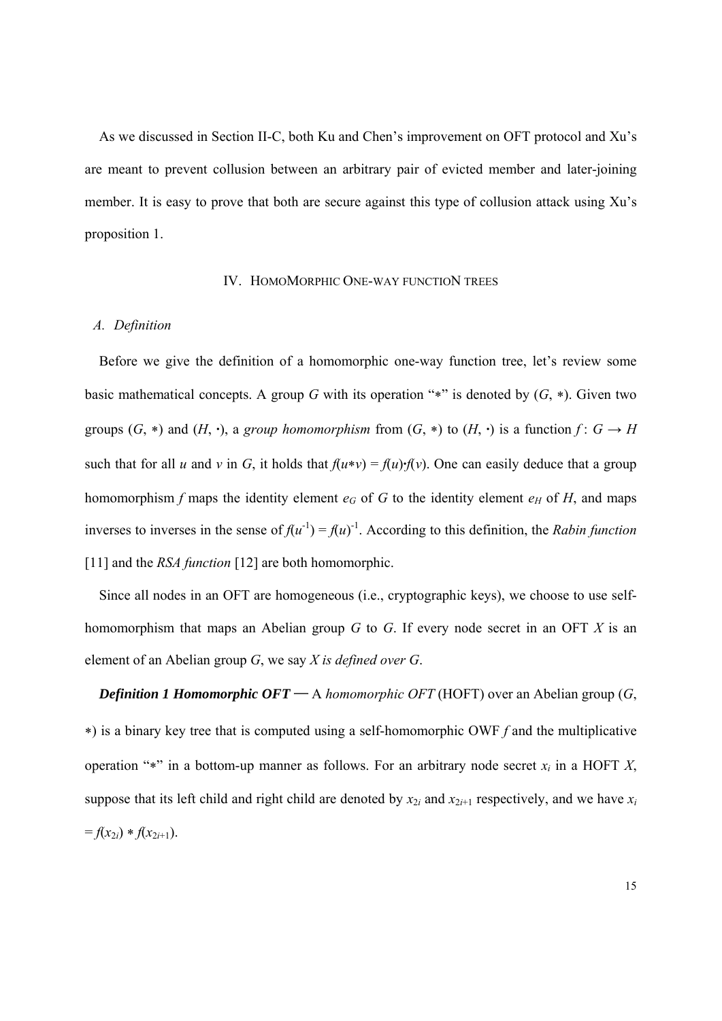As we discussed in Section II-C, both Ku and Chen's improvement on OFT protocol and Xu's are meant to prevent collusion between an arbitrary pair of evicted member and later-joining member. It is easy to prove that both are secure against this type of collusion attack using Xu's proposition 1.

#### IV. HOMOMORPHIC ONE-WAY FUNCTION TREES

#### *A. Definition*

Before we give the definition of a homomorphic one-way function tree, let's review some basic mathematical concepts. A group *G* with its operation "\*" is denoted by  $(G, *)$ . Given two groups  $(G, *)$  and  $(H, \cdot)$ , a *group homomorphism* from  $(G, *)$  to  $(H, \cdot)$  is a function  $f: G \to H$ such that for all *u* and *v* in *G*, it holds that  $f(u*v) = f(u) \cdot f(v)$ . One can easily deduce that a group homomorphism f maps the identity element  $e_G$  of G to the identity element  $e_H$  of H, and maps inverses to inverses in the sense of  $f(u^{-1}) = f(u)^{-1}$ . According to this definition, the *Rabin function* [11] and the *RSA function* [12] are both homomorphic.

Since all nodes in an OFT are homogeneous (i.e., cryptographic keys), we choose to use selfhomomorphism that maps an Abelian group *G* to *G*. If every node secret in an OFT *X* is an element of an Abelian group *G*, we say *X is defined over G*.

*Definition 1 Homomorphic OFT* — A *homomorphic OFT* (HOFT) over an Abelian group (*G*, ) is a binary key tree that is computed using a self-homomorphic OWF *f* and the multiplicative operation "\*" in a bottom-up manner as follows. For an arbitrary node secret  $x_i$  in a HOFT  $X$ , suppose that its left child and right child are denoted by  $x_{2i}$  and  $x_{2i+1}$  respectively, and we have  $x_i$  $= f(x_{2i}) * f(x_{2i+1}).$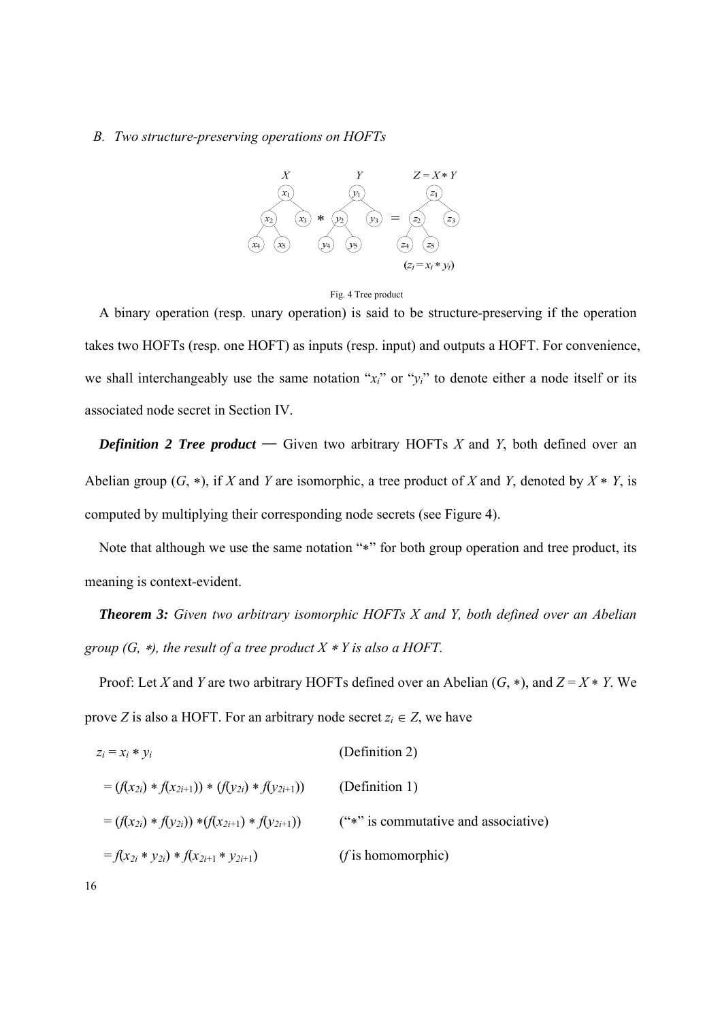#### *B. Two structure-preserving operations on HOFTs*





A binary operation (resp. unary operation) is said to be structure-preserving if the operation takes two HOFTs (resp. one HOFT) as inputs (resp. input) and outputs a HOFT. For convenience, we shall interchangeably use the same notation " $x_i$ " or " $y_i$ " to denote either a node itself or its associated node secret in Section IV.

*Definition 2 Tree product* — Given two arbitrary HOFTs  $X$  and  $Y$ , both defined over an Abelian group  $(G, *),$  if *X* and *Y* are isomorphic, a tree product of *X* and *Y*, denoted by  $X * Y$ , is computed by multiplying their corresponding node secrets (see Figure 4).

Note that although we use the same notation "\*" for both group operation and tree product, its meaning is context-evident.

*Theorem 3: Given two arbitrary isomorphic HOFTs X and Y, both defined over an Abelian group (G, \*), the result of a tree product X \* Y is also a HOFT.* 

Proof: Let *X* and *Y* are two arbitrary HOFTs defined over an Abelian  $(G, *)$ , and  $Z = X * Y$ . We prove *Z* is also a HOFT. For an arbitrary node secret  $z_i \in Z$ , we have

$$
z_i = x_i * y_i
$$
 (Definition 2)  
\n
$$
= (f(x_{2i}) * f(x_{2i+1})) * (f(y_{2i}) * f(y_{2i+1}))
$$
 (Definition 1)  
\n
$$
= (f(x_{2i}) * f(y_{2i})) * (f(x_{2i+1}) * f(y_{2i+1}))
$$
 ("\*" is commutative and associative)  
\n
$$
= f(x_{2i} * y_{2i}) * f(x_{2i+1} * y_{2i+1})
$$
 (f is homomorphic)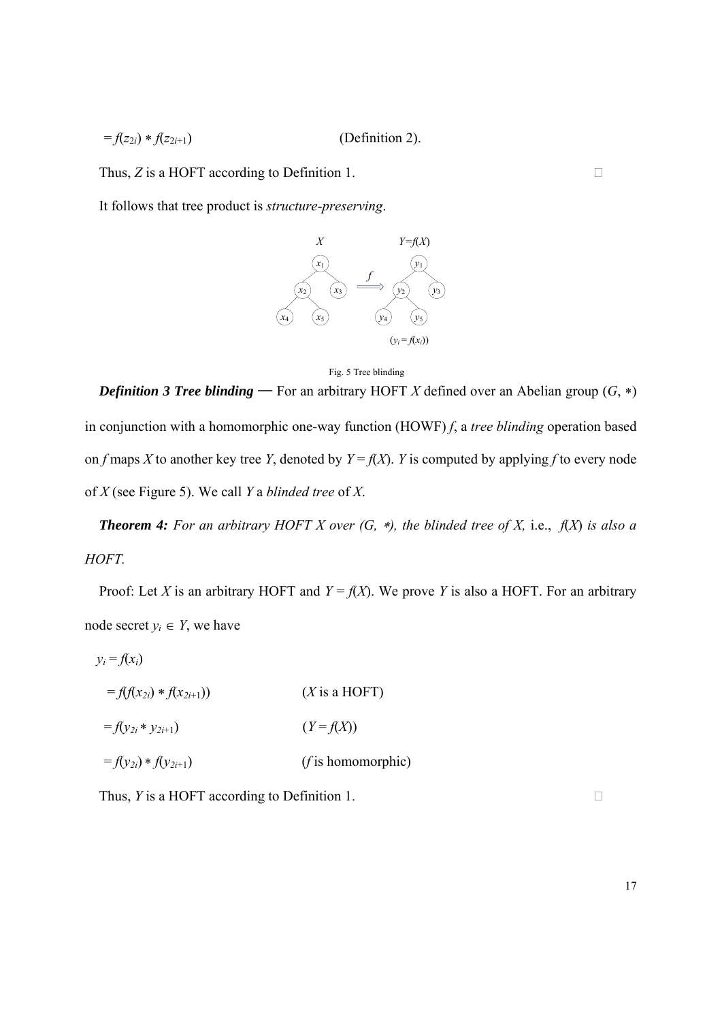$$
=f(z_{2i}) * f(z_{2i+1})
$$
 (Definition 2).

Thus, *Z* is a HOFT according to Definition 1.

It follows that tree product is *structure-preserving*.



Fig. 5 Tree blinding

*Definition 3 Tree blinding* — For an arbitrary HOFT *X* defined over an Abelian group  $(G, *)$ in conjunction with a homomorphic one-way function (HOWF) *f*, a *tree blinding* operation based on *f* maps *X* to another key tree *Y*, denoted by  $Y = f(X)$ . *Y* is computed by applying *f* to every node of *X* (see Figure 5). We call *Y* a *blinded tree* of *X*.

*Theorem 4: For an arbitrary HOFT X over (G, \*), the blinded tree of X, i.e.,*  $f(X)$  *is also a HOFT.*

Proof: Let *X* is an arbitrary HOFT and  $Y = f(X)$ . We prove *Y* is also a HOFT. For an arbitrary node secret  $y_i \in Y$ , we have

$$
y_i = f(x_i)
$$
  
\n
$$
= f(f(x_{2i}) * f(x_{2i+1}))
$$
 (X is a HOFT)  
\n
$$
= f(y_{2i} * y_{2i+1})
$$
 (Y = f(X))  
\n
$$
= f(y_{2i}) * f(y_{2i+1})
$$
 (f is homomorphic)

Thus, *Y* is a HOFT according to Definition 1.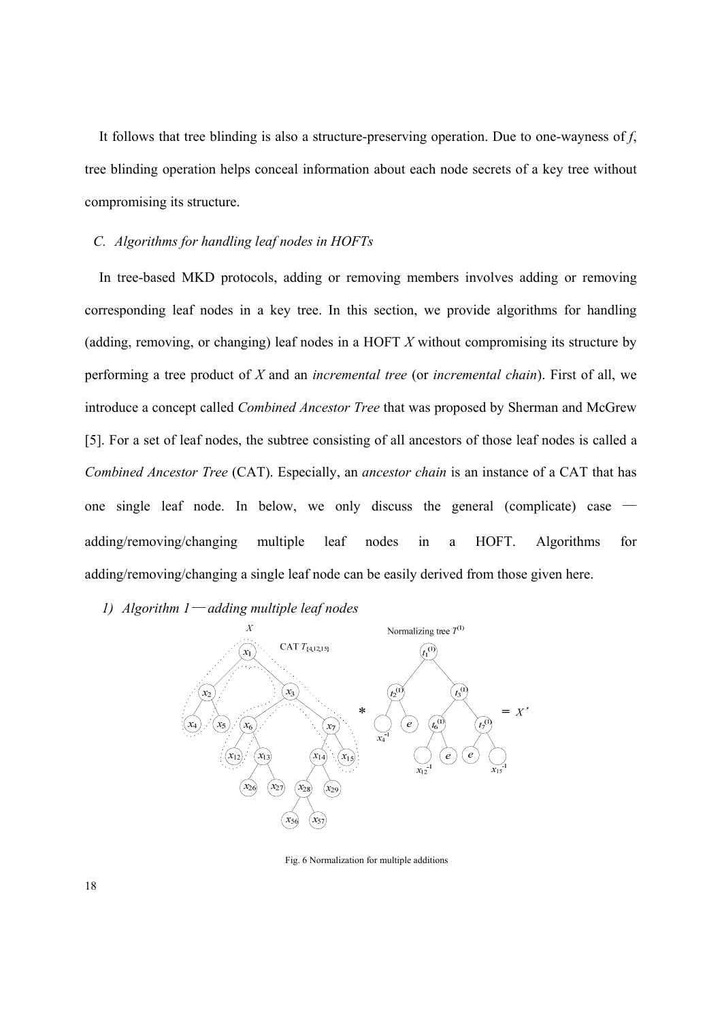It follows that tree blinding is also a structure-preserving operation. Due to one-wayness of *f*, tree blinding operation helps conceal information about each node secrets of a key tree without compromising its structure.

## *C. Algorithms for handling leaf nodes in HOFTs*

In tree-based MKD protocols, adding or removing members involves adding or removing corresponding leaf nodes in a key tree. In this section, we provide algorithms for handling (adding, removing, or changing) leaf nodes in a HOFT *X* without compromising its structure by performing a tree product of *X* and an *incremental tree* (or *incremental chain*). First of all, we introduce a concept called *Combined Ancestor Tree* that was proposed by Sherman and McGrew [5]. For a set of leaf nodes, the subtree consisting of all ancestors of those leaf nodes is called a *Combined Ancestor Tree* (CAT). Especially, an *ancestor chain* is an instance of a CAT that has one single leaf node. In below, we only discuss the general (complicate) case adding/removing/changing multiple leaf nodes in a HOFT. Algorithms for adding/removing/changing a single leaf node can be easily derived from those given here.

*1) Algorithm 1*— *adding multiple leaf nodes* 



Fig. 6 Normalization for multiple additions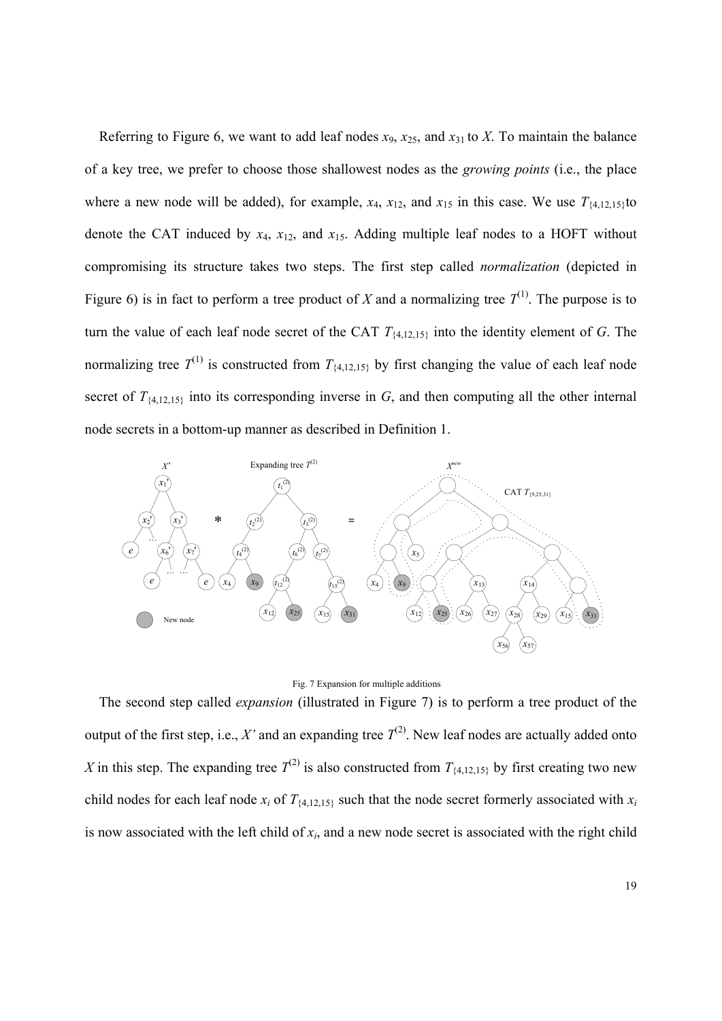Referring to Figure 6, we want to add leaf nodes  $x_9$ ,  $x_{25}$ , and  $x_{31}$  to *X*. To maintain the balance of a key tree, we prefer to choose those shallowest nodes as the *growing points* (i.e., the place where a new node will be added), for example,  $x_4$ ,  $x_{12}$ , and  $x_{15}$  in this case. We use  $T_{\{4,12,15\}}$ to denote the CAT induced by  $x_4$ ,  $x_{12}$ , and  $x_{15}$ . Adding multiple leaf nodes to a HOFT without compromising its structure takes two steps. The first step called *normalization* (depicted in Figure 6) is in fact to perform a tree product of *X* and a normalizing tree  $T^{(1)}$ . The purpose is to turn the value of each leaf node secret of the CAT *T*{4,12,15} into the identity element of *G*. The normalizing tree  $T^{(1)}$  is constructed from  $T_{\{4,12,15\}}$  by first changing the value of each leaf node secret of  $T_{\{4,12,15\}}$  into its corresponding inverse in *G*, and then computing all the other internal node secrets in a bottom-up manner as described in Definition 1.



#### Fig. 7 Expansion for multiple additions

The second step called *expansion* (illustrated in Figure 7) is to perform a tree product of the output of the first step, i.e., *X'* and an expanding tree  $T^{(2)}$ . New leaf nodes are actually added onto *X* in this step. The expanding tree  $T^{(2)}$  is also constructed from  $T_{\{4,12,15\}}$  by first creating two new child nodes for each leaf node  $x_i$  of  $T_{\{4,12,15\}}$  such that the node secret formerly associated with  $x_i$ is now associated with the left child of  $x_i$ , and a new node secret is associated with the right child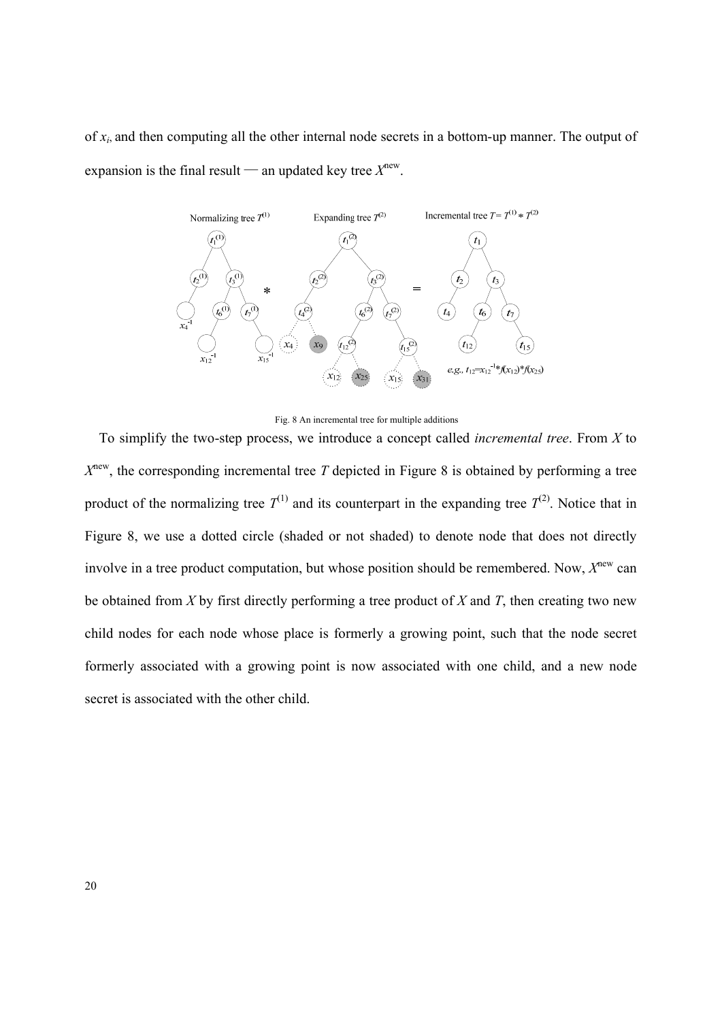of *xi*, and then computing all the other internal node secrets in a bottom-up manner. The output of expansion is the final result — an updated key tree  $X<sup>new</sup>$ .



Fig. 8 An incremental tree for multiple additions

To simplify the two-step process, we introduce a concept called *incremental tree*. From *X* to  $X<sup>new</sup>$ , the corresponding incremental tree *T* depicted in Figure 8 is obtained by performing a tree product of the normalizing tree  $T^{(1)}$  and its counterpart in the expanding tree  $T^{(2)}$ . Notice that in Figure 8, we use a dotted circle (shaded or not shaded) to denote node that does not directly involve in a tree product computation, but whose position should be remembered. Now, *X*new can be obtained from *X* by first directly performing a tree product of *X* and *T*, then creating two new child nodes for each node whose place is formerly a growing point, such that the node secret formerly associated with a growing point is now associated with one child, and a new node secret is associated with the other child.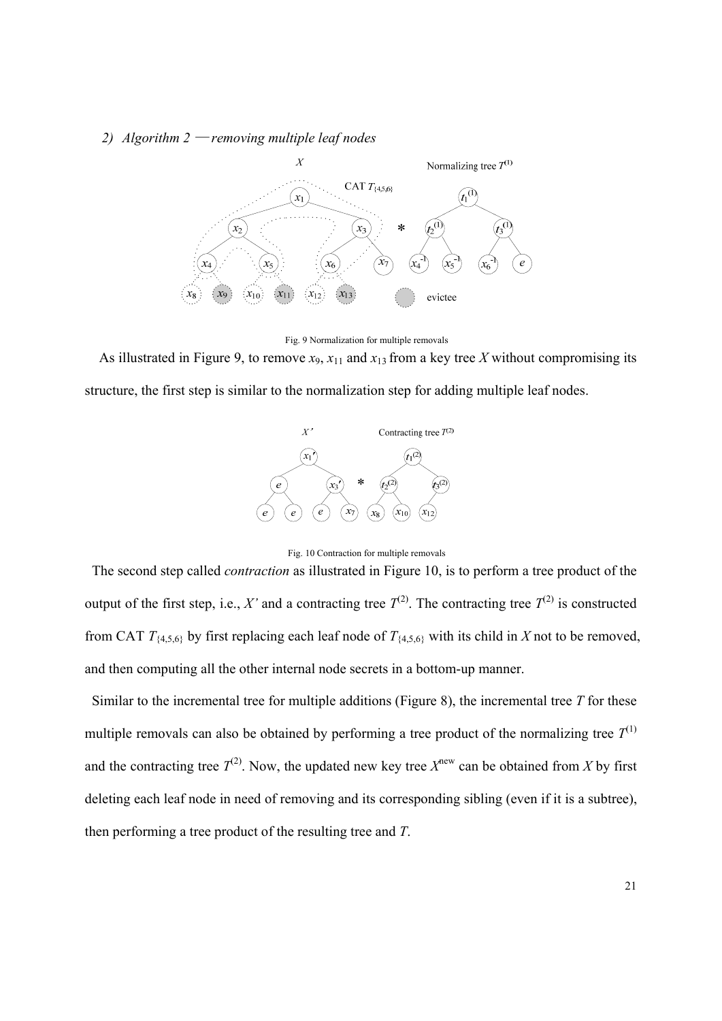## *2) Algorithm 2* — *removing multiple leaf nodes*



Fig. 9 Normalization for multiple removals

As illustrated in Figure 9, to remove  $x_9$ ,  $x_{11}$  and  $x_{13}$  from a key tree *X* without compromising its structure, the first step is similar to the normalization step for adding multiple leaf nodes.



Fig. 10 Contraction for multiple removals

 The second step called *contraction* as illustrated in Figure 10, is to perform a tree product of the output of the first step, i.e., *X'* and a contracting tree  $T^{(2)}$ . The contracting tree  $T^{(2)}$  is constructed from CAT  $T_{\{4,5,6\}}$  by first replacing each leaf node of  $T_{\{4,5,6\}}$  with its child in *X* not to be removed, and then computing all the other internal node secrets in a bottom-up manner.

 Similar to the incremental tree for multiple additions (Figure 8), the incremental tree *T* for these multiple removals can also be obtained by performing a tree product of the normalizing tree  $T^{(1)}$ and the contracting tree  $T^{(2)}$ . Now, the updated new key tree  $X^{new}$  can be obtained from *X* by first deleting each leaf node in need of removing and its corresponding sibling (even if it is a subtree), then performing a tree product of the resulting tree and *T*.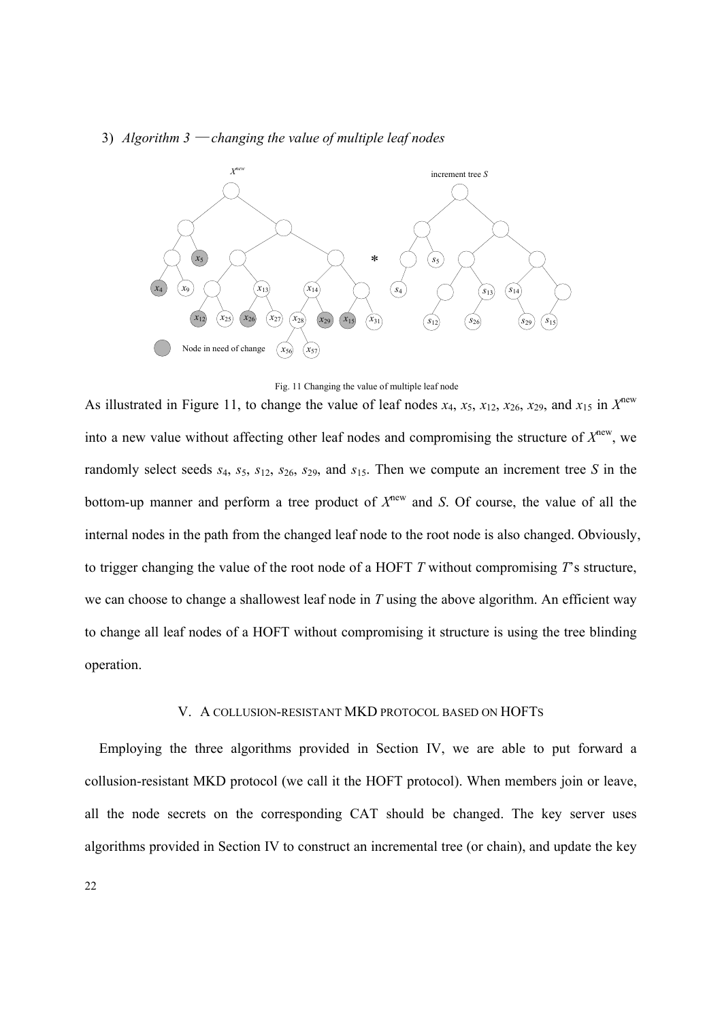#### 3) *Algorithm 3* — *changing the value of multiple leaf nodes*



Fig. 11 Changing the value of multiple leaf node

As illustrated in Figure 11, to change the value of leaf nodes  $x_4$ ,  $x_5$ ,  $x_{12}$ ,  $x_{26}$ ,  $x_{29}$ , and  $x_{15}$  in  $X^{new}$ into a new value without affecting other leaf nodes and compromising the structure of  $X<sup>new</sup>$ , we randomly select seeds *s*4, *s*5, *s*12, *s*26, *s*29, and *s*15. Then we compute an increment tree *S* in the bottom-up manner and perform a tree product of  $X^{new}$  and *S*. Of course, the value of all the internal nodes in the path from the changed leaf node to the root node is also changed. Obviously, to trigger changing the value of the root node of a HOFT *T* without compromising *T*'s structure, we can choose to change a shallowest leaf node in *T* using the above algorithm. An efficient way to change all leaf nodes of a HOFT without compromising it structure is using the tree blinding operation.

## V. A COLLUSION-RESISTANT MKD PROTOCOL BASED ON HOFTS

Employing the three algorithms provided in Section IV, we are able to put forward a collusion-resistant MKD protocol (we call it the HOFT protocol). When members join or leave, all the node secrets on the corresponding CAT should be changed. The key server uses algorithms provided in Section IV to construct an incremental tree (or chain), and update the key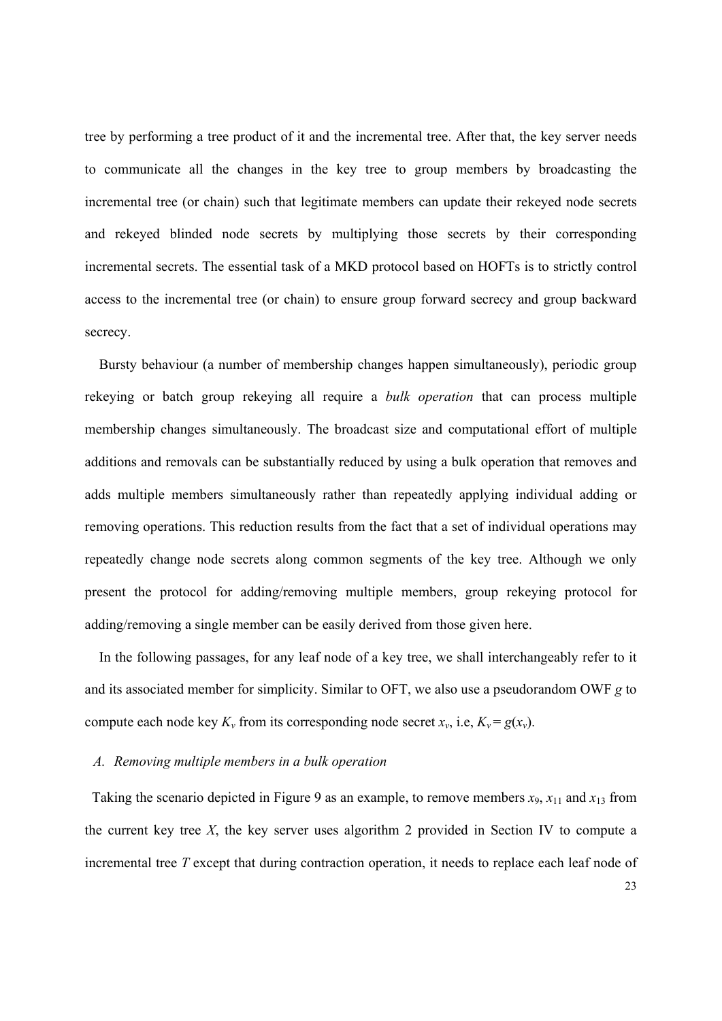tree by performing a tree product of it and the incremental tree. After that, the key server needs to communicate all the changes in the key tree to group members by broadcasting the incremental tree (or chain) such that legitimate members can update their rekeyed node secrets and rekeyed blinded node secrets by multiplying those secrets by their corresponding incremental secrets. The essential task of a MKD protocol based on HOFTs is to strictly control access to the incremental tree (or chain) to ensure group forward secrecy and group backward secrecy.

Bursty behaviour (a number of membership changes happen simultaneously), periodic group rekeying or batch group rekeying all require a *bulk operation* that can process multiple membership changes simultaneously. The broadcast size and computational effort of multiple additions and removals can be substantially reduced by using a bulk operation that removes and adds multiple members simultaneously rather than repeatedly applying individual adding or removing operations. This reduction results from the fact that a set of individual operations may repeatedly change node secrets along common segments of the key tree. Although we only present the protocol for adding/removing multiple members, group rekeying protocol for adding/removing a single member can be easily derived from those given here.

In the following passages, for any leaf node of a key tree, we shall interchangeably refer to it and its associated member for simplicity. Similar to OFT, we also use a pseudorandom OWF *g* to compute each node key  $K_v$  from its corresponding node secret  $x_v$ , i.e,  $K_v = g(x_v)$ .

## *A. Removing multiple members in a bulk operation*

Taking the scenario depicted in Figure 9 as an example, to remove members  $x_9$ ,  $x_{11}$  and  $x_{13}$  from the current key tree *X*, the key server uses algorithm 2 provided in Section IV to compute a incremental tree *T* except that during contraction operation, it needs to replace each leaf node of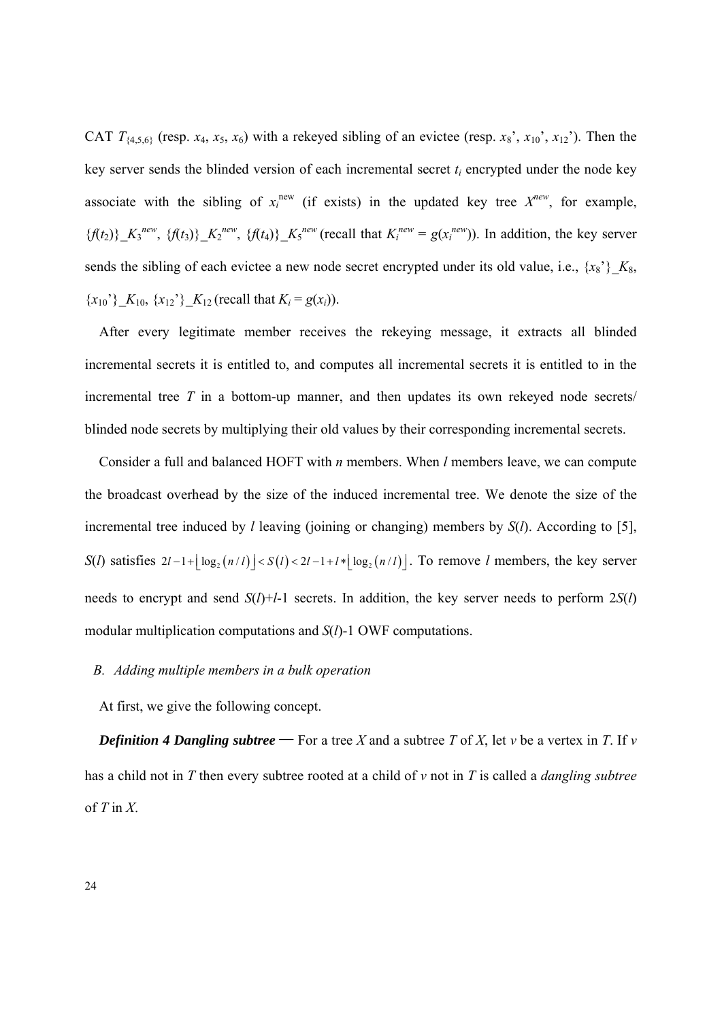CAT  $T_{\{4,5,6\}}$  (resp. *x*<sub>4</sub>, *x*<sub>5</sub>, *x*<sub>6</sub>) with a rekeyed sibling of an evictee (resp. *x*<sub>8</sub>', *x*<sub>10</sub>', *x*<sub>12</sub>'). Then the key server sends the blinded version of each incremental secret  $t_i$  encrypted under the node key associate with the sibling of  $x_i^{new}$  (if exists) in the updated key tree  $X^{new}$ , for example,  $\{f(t_2)\}\_\_{K_3}^{new}$ ,  $\{f(t_3)\}\_\_{K_2}^{new}$ ,  $\{f(t_4)\}\_\_{K_5}^{new}$  (recall that  $K_i^{new} = g(x_i^{new})$ ). In addition, the key server sends the sibling of each evictee a new node secret encrypted under its old value, i.e.,  $\{x_8\}$ *\_K*<sub>8</sub>,  ${x_{10}}$ ,  ${X_{10}, {x_{12}}$ ,  ${X_{12}}$  (recall that  $K_i = g(x_i)$ ).

After every legitimate member receives the rekeying message, it extracts all blinded incremental secrets it is entitled to, and computes all incremental secrets it is entitled to in the incremental tree *T* in a bottom-up manner, and then updates its own rekeyed node secrets/ blinded node secrets by multiplying their old values by their corresponding incremental secrets.

Consider a full and balanced HOFT with *n* members. When *l* members leave, we can compute the broadcast overhead by the size of the induced incremental tree. We denote the size of the incremental tree induced by *l* leaving (joining or changing) members by *S*(*l*). According to [5], *S*(*l*) satisfies  $2l - 1 + \lfloor \log_2(n/l) \rfloor < S(l) < 2l - 1 + l * \lfloor \log_2(n/l) \rfloor$ . To remove *l* members, the key server needs to encrypt and send  $S(l)+l-1$  secrets. In addition, the key server needs to perform  $2S(l)$ modular multiplication computations and *S*(*l*)-1 OWF computations.

## *B. Adding multiple members in a bulk operation*

At first, we give the following concept.

*Definition 4 Dangling subtree* — For a tree *X* and a subtree *T* of *X*, let *v* be a vertex in *T*. If *v* has a child not in *T* then every subtree rooted at a child of *v* not in *T* is called a *dangling subtree* of *T* in *X*.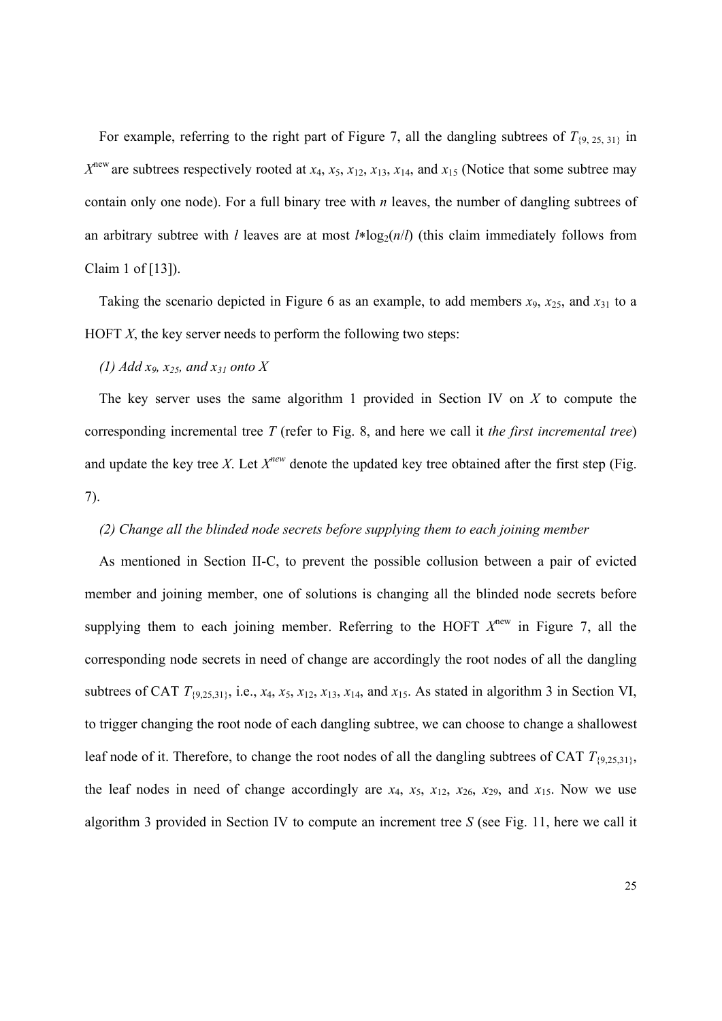For example, referring to the right part of Figure 7, all the dangling subtrees of  $T_{\{9, 25, 31\}}$  in  $X^{\text{new}}$  are subtrees respectively rooted at  $x_4$ ,  $x_5$ ,  $x_{12}$ ,  $x_{13}$ ,  $x_{14}$ , and  $x_{15}$  (Notice that some subtree may contain only one node). For a full binary tree with *n* leaves, the number of dangling subtrees of an arbitrary subtree with *l* leaves are at most  $l * log<sub>2</sub>(n/l)$  (this claim immediately follows from Claim 1 of [13]).

Taking the scenario depicted in Figure 6 as an example, to add members  $x_9$ ,  $x_{25}$ , and  $x_{31}$  to a HOFT *X*, the key server needs to perform the following two steps:

# *(1) Add x9, x25, and x31 onto X*

The key server uses the same algorithm 1 provided in Section IV on *X* to compute the corresponding incremental tree *T* (refer to Fig. 8, and here we call it *the first incremental tree*) and update the key tree *X*. Let  $X^{new}$  denote the updated key tree obtained after the first step (Fig. 7).

# *(2) Change all the blinded node secrets before supplying them to each joining member*

As mentioned in Section II-C, to prevent the possible collusion between a pair of evicted member and joining member, one of solutions is changing all the blinded node secrets before supplying them to each joining member. Referring to the HOFT  $X^{new}$  in Figure 7, all the corresponding node secrets in need of change are accordingly the root nodes of all the dangling subtrees of CAT  $T_{\{9,25,31\}}$ , i.e.,  $x_4$ ,  $x_5$ ,  $x_{12}$ ,  $x_{13}$ ,  $x_{14}$ , and  $x_{15}$ . As stated in algorithm 3 in Section VI, to trigger changing the root node of each dangling subtree, we can choose to change a shallowest leaf node of it. Therefore, to change the root nodes of all the dangling subtrees of CAT  $T_{\{9,25,31\}}$ , the leaf nodes in need of change accordingly are  $x_4$ ,  $x_5$ ,  $x_{12}$ ,  $x_{26}$ ,  $x_{29}$ , and  $x_{15}$ . Now we use algorithm 3 provided in Section IV to compute an increment tree *S* (see Fig. 11, here we call it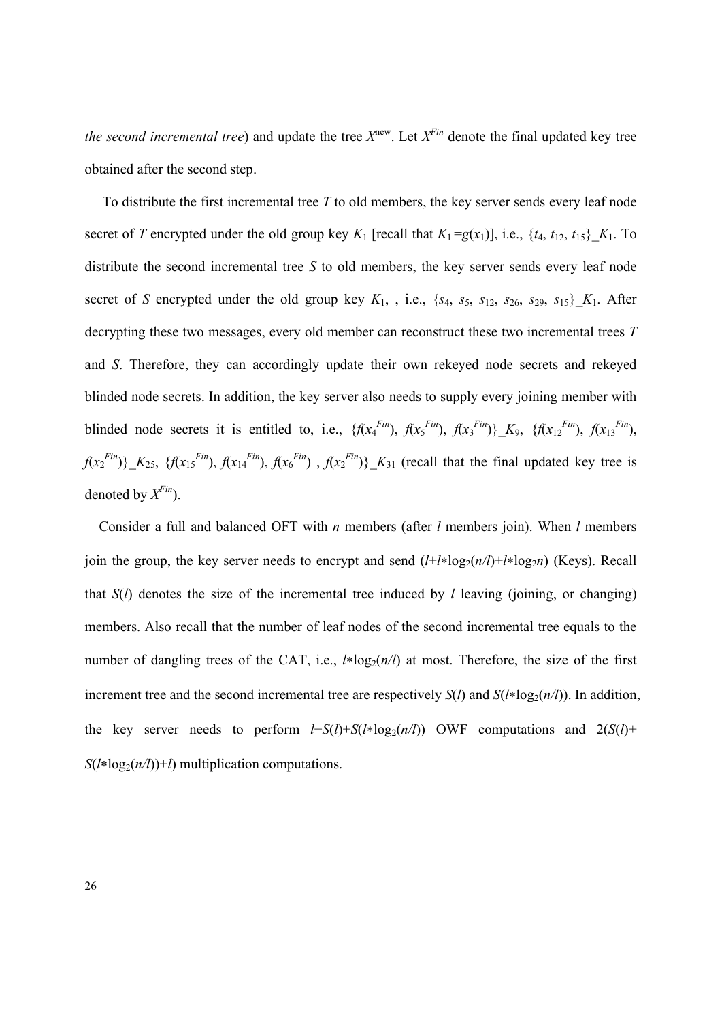*the second incremental tree*) and update the tree  $X^{new}$ . Let  $X^{Fin}$  denote the final updated key tree obtained after the second step.

 To distribute the first incremental tree *T* to old members, the key server sends every leaf node secret of *T* encrypted under the old group key  $K_1$  [recall that  $K_1 = g(x_1)$ ], i.e.,  $\{t_4, t_{12}, t_{15}\}\ K_1$ . To distribute the second incremental tree *S* to old members, the key server sends every leaf node secret of *S* encrypted under the old group key  $K_1$ , , i.e.,  $\{s_4, s_5, s_{12}, s_{26}, s_{29}, s_{15}\}\ K_1$ . After decrypting these two messages, every old member can reconstruct these two incremental trees *T* and *S*. Therefore, they can accordingly update their own rekeyed node secrets and rekeyed blinded node secrets. In addition, the key server also needs to supply every joining member with blinded node secrets it is entitled to, i.e.,  $\{f(x_4^{Fin})$ ,  $f(x_5^{Fin})$ ,  $f(x_3^{Fin})\}$ ,  $K_9$ ,  $\{f(x_{12}^{Fin})$ ,  $f(x_{13}^{Fin})$ ,  $f(x_2^{Fin})\}$   $K_{25}$ , { $f(x_1^{Fin})$ ,  $f(x_1^{Fin})$ ,  $f(x_6^{Fin})$ ,  $f(x_2^{Fin})\}$   $K_{31}$  (recall that the final updated key tree is denoted by  $X^{Fin}$ ).

Consider a full and balanced OFT with *n* members (after *l* members join). When *l* members join the group, the key server needs to encrypt and send  $(l+l * log<sub>2</sub>(n/l) + l * log<sub>2</sub>n)$  (Keys). Recall that  $S(l)$  denotes the size of the incremental tree induced by *l* leaving (joining, or changing) members. Also recall that the number of leaf nodes of the second incremental tree equals to the number of dangling trees of the CAT, i.e.,  $l * log_2(n/l)$  at most. Therefore, the size of the first increment tree and the second incremental tree are respectively  $S(\ell)$  and  $S(\ell * \log_2(n/\ell))$ . In addition, the key server needs to perform  $l+S(l)+S(l*log<sub>2</sub>(n/l))$  OWF computations and  $2(S(l)+S(l*log<sub>2</sub>(n/l)))$  $S(l * log_2(n/l)) + l$ ) multiplication computations.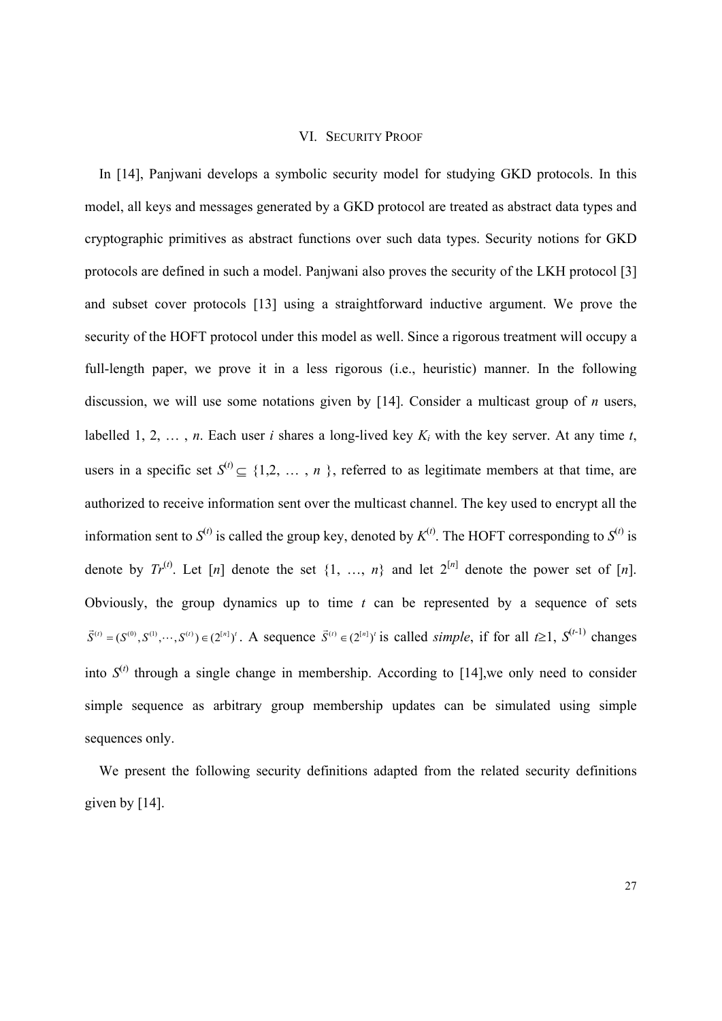#### VI. SECURITY PROOF

In [14], Panjwani develops a symbolic security model for studying GKD protocols. In this model, all keys and messages generated by a GKD protocol are treated as abstract data types and cryptographic primitives as abstract functions over such data types. Security notions for GKD protocols are defined in such a model. Panjwani also proves the security of the LKH protocol [3] and subset cover protocols [13] using a straightforward inductive argument. We prove the security of the HOFT protocol under this model as well. Since a rigorous treatment will occupy a full-length paper, we prove it in a less rigorous (i.e., heuristic) manner. In the following discussion, we will use some notations given by [14]. Consider a multicast group of *n* users, labelled 1, 2, ..., *n*. Each user *i* shares a long-lived key  $K_i$  with the key server. At any time *t*, users in a specific set  $S^{(i)} \subseteq \{1,2, \ldots, n\}$ , referred to as legitimate members at that time, are authorized to receive information sent over the multicast channel. The key used to encrypt all the information sent to  $S^{(t)}$  is called the group key, denoted by  $K^{(t)}$ . The HOFT corresponding to  $S^{(t)}$  is denote by  $Tr^{(t)}$ . Let [n] denote the set  $\{1, ..., n\}$  and let  $2^{[n]}$  denote the power set of [n]. Obviously, the group dynamics up to time *t* can be represented by a sequence of sets  $(\vec{S}^{(t)} = (S^{(0)}, S^{(1)}, \dots, S^{(t)}) \in (2^{[n]})^t$ . A sequence  $\vec{S}^{(t)} \in (2^{[n]})^t$  is called *simple*, if for all  $t \ge 1$ ,  $S^{(t-1)}$  changes into  $S^{(t)}$  through a single change in membership. According to [14], we only need to consider simple sequence as arbitrary group membership updates can be simulated using simple sequences only.

We present the following security definitions adapted from the related security definitions given by [14].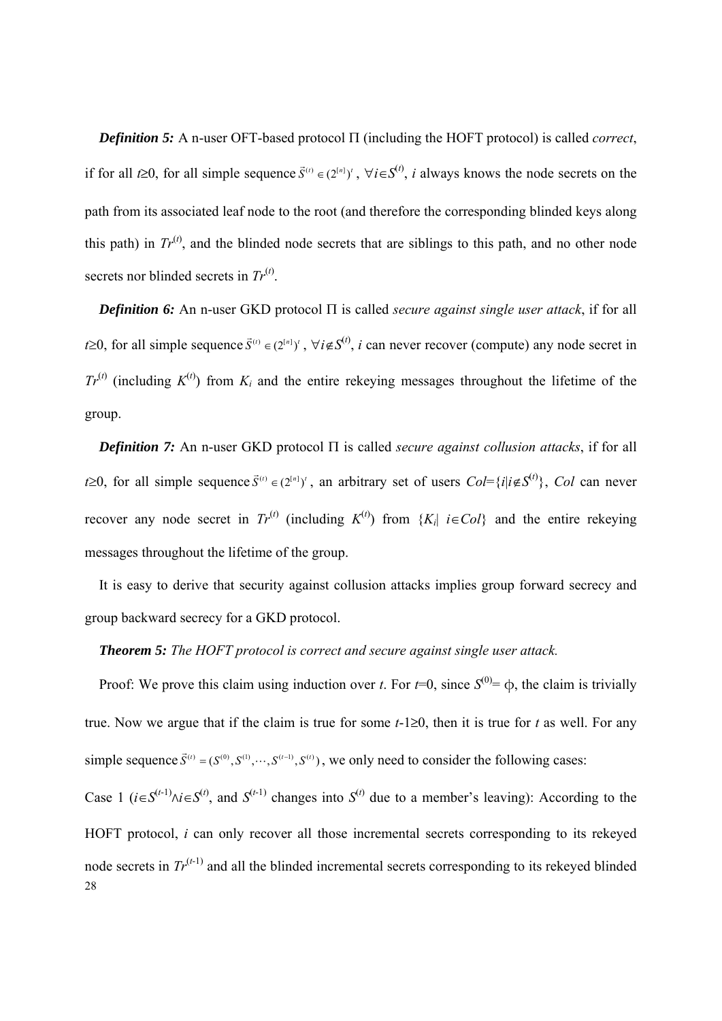*Definition 5:* A n-user OFT-based protocol  $\Pi$  (including the HOFT protocol) is called *correct*, if for all *t*≥0, for all simple sequence  $\vec{S}^{(t)} \in (2^{[n]})^t$ ,  $\forall i \in S^{(t)}$ , *i* always knows the node secrets on the path from its associated leaf node to the root (and therefore the corresponding blinded keys along this path) in  $Tr^{(t)}$ , and the blinded node secrets that are siblings to this path, and no other node secrets nor blinded secrets in  $Tr^{(t)}$ .

*Definition 6:* An n-user GKD protocol  $\Pi$  is called *secure against single user attack*, if for all *t* $\geq$ 0, for all simple sequence  $\vec{S}^{(t)} \in (2^{[n]})^t$ ,  $\forall i \notin S^{(t)}$ , *i* can never recover (compute) any node secret in  $Tr^{(t)}$  (including  $K^{(t)}$ ) from  $K_i$  and the entire rekeying messages throughout the lifetime of the group.

*Definition 7:* An n-user GKD protocol  $\Pi$  is called *secure against collusion attacks*, if for all *t* $\geq$ 0, for all simple sequence  $\vec{S}^{(t)} \in (2^{[n]})^t$ , an arbitrary set of users  $Col = \{i | i \notin S^{(t)}\}$ , *Col* can never recover any node secret in  $Tr^{(t)}$  (including  $K^{(t)}$ ) from  $\{K_i | i \in Col\}$  and the entire rekeying messages throughout the lifetime of the group.

It is easy to derive that security against collusion attacks implies group forward secrecy and group backward secrecy for a GKD protocol.

## *Theorem 5: The HOFT protocol is correct and secure against single user attack.*

Proof: We prove this claim using induction over *t*. For  $t=0$ , since  $S^{(0)} = \phi$ , the claim is trivially true. Now we argue that if the claim is true for some *t*-1≥0, then it is true for *t* as well. For any simple sequence  $\vec{S}^{(t)} = (S^{(0)}, S^{(1)}, \dots, S^{(t-1)}, S^{(t)})$ , we only need to consider the following cases:

28 Case 1 (*i*∈S<sup>(*t*-1)</sup>∧*i*∈S<sup>(*t*)</sup>, and S<sup>(*t*-1)</sup> changes into S<sup>(*t*)</sup> due to a member's leaving): According to the HOFT protocol, *i* can only recover all those incremental secrets corresponding to its rekeyed node secrets in  $Tr^{(t-1)}$  and all the blinded incremental secrets corresponding to its rekeyed blinded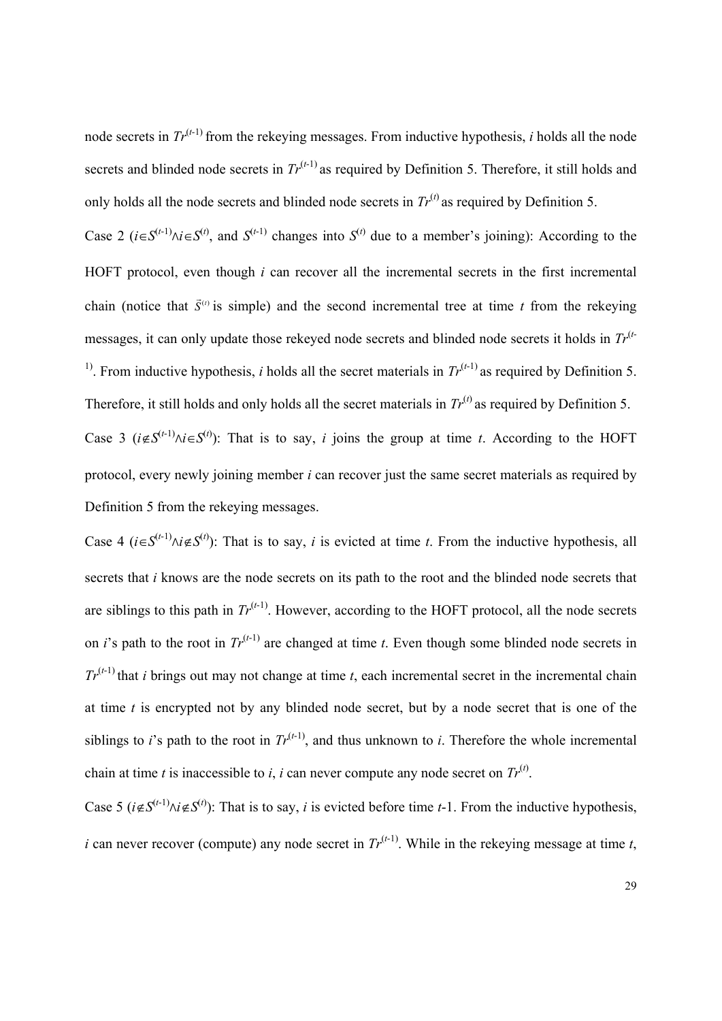node secrets in  $Tr^{(t-1)}$  from the rekeying messages. From inductive hypothesis, *i* holds all the node secrets and blinded node secrets in  $Tr^{(t-1)}$  as required by Definition 5. Therefore, it still holds and only holds all the node secrets and blinded node secrets in  $Tr^{(t)}$  as required by Definition 5.

Case 2 ( $i \in S^{(t-1)} \land i \in S^{(t)}$ , and  $S^{(t-1)}$  changes into  $S^{(t)}$  due to a member's joining): According to the HOFT protocol, even though *i* can recover all the incremental secrets in the first incremental chain (notice that  $\vec{S}^{(t)}$  is simple) and the second incremental tree at time *t* from the rekeying messages, it can only update those rekeyed node secrets and blinded node secrets it holds in *Tr*(*t*-<sup>1)</sup>. From inductive hypothesis, *i* holds all the secret materials in  $Tr<sup>(t-1)</sup>$  as required by Definition 5. Therefore, it still holds and only holds all the secret materials in  $Tr^{(t)}$  as required by Definition 5. Case 3 ( $i \notin S^{(t-1)} \land i \in S^{(t)}$ ): That is to say, *i* joins the group at time *t*. According to the HOFT protocol, every newly joining member *i* can recover just the same secret materials as required by Definition 5 from the rekeying messages.

Case 4 ( $i \in S^{(t-1)} \land i \notin S^{(t)}$ ): That is to say, *i* is evicted at time *t*. From the inductive hypothesis, all secrets that *i* knows are the node secrets on its path to the root and the blinded node secrets that are siblings to this path in  $Tr^{(t-1)}$ . However, according to the HOFT protocol, all the node secrets on *i*'s path to the root in  $Tr^{(t-1)}$  are changed at time *t*. Even though some blinded node secrets in  $Tr^{(t-1)}$  that *i* brings out may not change at time *t*, each incremental secret in the incremental chain at time *t* is encrypted not by any blinded node secret, but by a node secret that is one of the siblings to *i*'s path to the root in  $Tr^{(t-1)}$ , and thus unknown to *i*. Therefore the whole incremental chain at time *t* is inaccessible to *i*, *i* can never compute any node secret on  $Tr^{(t)}$ .

Case 5 ( $i \notin S^{(t-1)} \land i \notin S^{(t)}$ ): That is to say, *i* is evicted before time *t*-1. From the inductive hypothesis, *i* can never recover (compute) any node secret in  $Tr^{(t-1)}$ . While in the rekeying message at time *t*,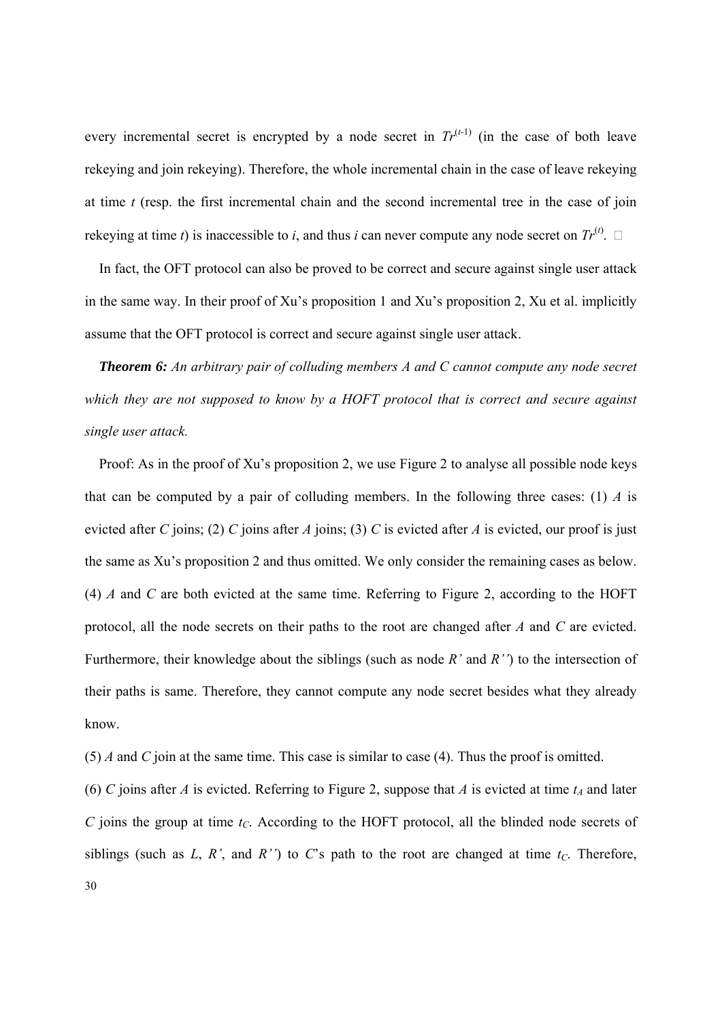every incremental secret is encrypted by a node secret in  $Tr^{(t-1)}$  (in the case of both leave rekeying and join rekeying). Therefore, the whole incremental chain in the case of leave rekeying at time *t* (resp. the first incremental chain and the second incremental tree in the case of join rekeying at time *t*) is inaccessible to *i*, and thus *i* can never compute any node secret on  $Tr^{(t)}$ .

In fact, the OFT protocol can also be proved to be correct and secure against single user attack in the same way. In their proof of Xu's proposition 1 and Xu's proposition 2, Xu et al. implicitly assume that the OFT protocol is correct and secure against single user attack.

*Theorem 6: An arbitrary pair of colluding members A and C cannot compute any node secret which they are not supposed to know by a HOFT protocol that is correct and secure against single user attack.*

Proof: As in the proof of Xu's proposition 2, we use Figure 2 to analyse all possible node keys that can be computed by a pair of colluding members. In the following three cases: (1) *A* is evicted after *C* joins; (2) *C* joins after *A* joins; (3) *C* is evicted after *A* is evicted, our proof is just the same as Xu's proposition 2 and thus omitted. We only consider the remaining cases as below. (4) *A* and *C* are both evicted at the same time. Referring to Figure 2, according to the HOFT protocol, all the node secrets on their paths to the root are changed after *A* and *C* are evicted. Furthermore, their knowledge about the siblings (such as node *R'* and *R''*) to the intersection of their paths is same. Therefore, they cannot compute any node secret besides what they already know.

(5) *A* and *C* join at the same time. This case is similar to case (4). Thus the proof is omitted.

30 (6) *C* joins after *A* is evicted. Referring to Figure 2, suppose that *A* is evicted at time  $t_A$  and later *C* joins the group at time  $t_C$ . According to the HOFT protocol, all the blinded node secrets of siblings (such as  $L, R'$ , and  $R''$ ) to  $C$ 's path to the root are changed at time  $t_C$ . Therefore,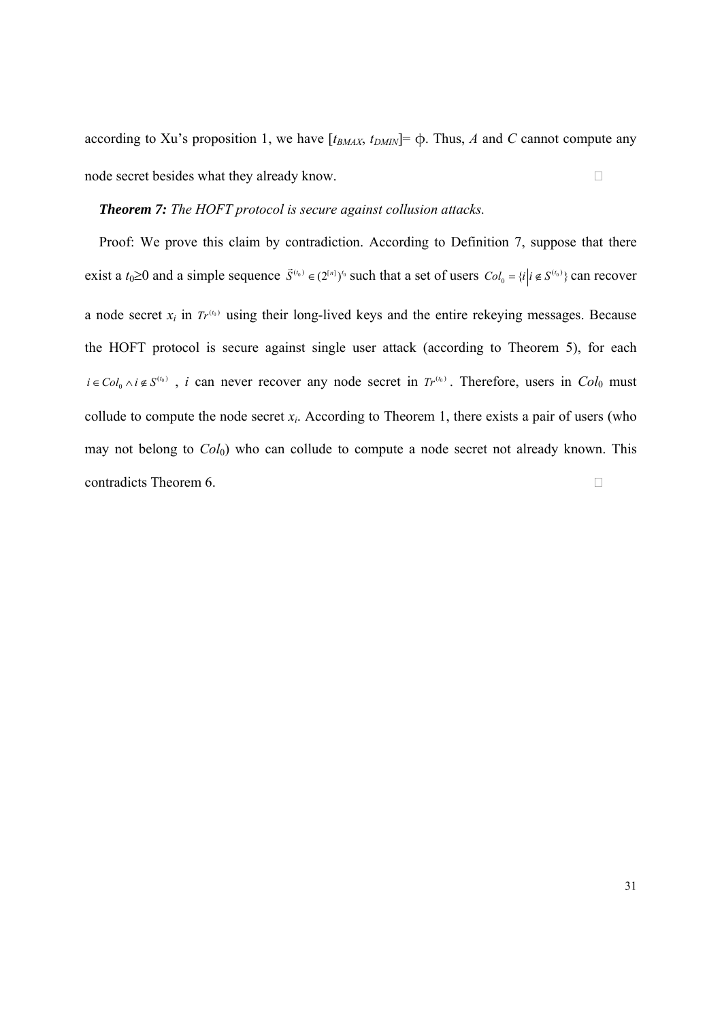according to Xu's proposition 1, we have  $[t_{BMAX}, t_{DMIN}] = \phi$ . Thus, *A* and *C* cannot compute any node secret besides what they already know.

# *Theorem 7: The HOFT protocol is secure against collusion attacks.*

Proof: We prove this claim by contradiction. According to Definition 7, suppose that there exist a  $t_0 \ge 0$  and a simple sequence  $\vec{S}^{(t_0)} \in (2^{[n]})^{t_0}$  such that a set of users  $Col_0 = \{i | i \notin S^{(t_0)}\}$  can recover a node secret  $x_i$  in  $Tr^{(t_0)}$  using their long-lived keys and the entire rekeying messages. Because the HOFT protocol is secure against single user attack (according to Theorem 5), for each  $i \in Col_0 \land i \notin S^{(t_0)}$ , *i* can never recover any node secret in  $Tr^{(t_0)}$ . Therefore, users in  $Col_0$  must collude to compute the node secret  $x_i$ . According to Theorem 1, there exists a pair of users (who may not belong to  $Col_0$ ) who can collude to compute a node secret not already known. This contradicts Theorem 6.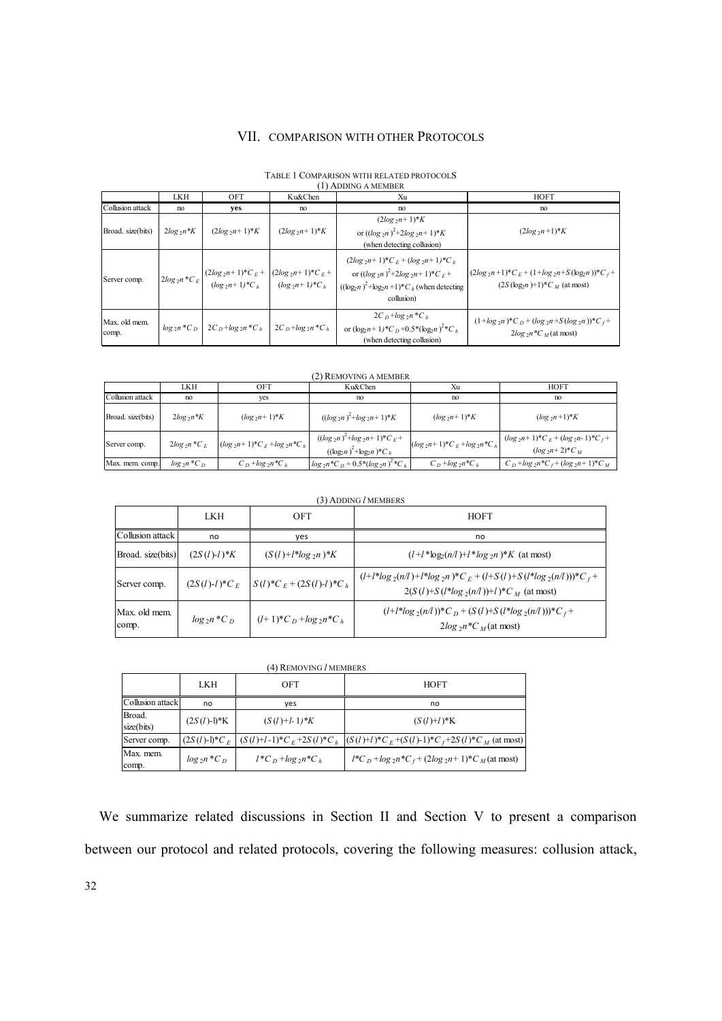## VII. COMPARISON WITH OTHER PROTOCOLS

| (1) ADDING A MEMBER    |              |                                                   |                                                                                                                               |                                                                                                                                                                                                   |                                                                                          |
|------------------------|--------------|---------------------------------------------------|-------------------------------------------------------------------------------------------------------------------------------|---------------------------------------------------------------------------------------------------------------------------------------------------------------------------------------------------|------------------------------------------------------------------------------------------|
|                        | <b>LKH</b>   | OFT                                               | Ku&Chen                                                                                                                       | Xu                                                                                                                                                                                                | <b>HOFT</b>                                                                              |
| Collusion attack       | no           | yes                                               | no                                                                                                                            | no                                                                                                                                                                                                | no                                                                                       |
| Broad. size(bits)      | $2log_2 n*K$ | $(2log_2 n + 1)*K$                                | $(2log_2 n+1)*K$                                                                                                              | $(2log_2 n+1)*K$<br>or $((\log_2 n)^2 + 2\log_2 n + 1)^*K$<br>(when detecting collusion)                                                                                                          | $(2log_2 n + 1)*K$                                                                       |
| Server comp.           |              |                                                   | $2log_2 n * C_E \left[ \frac{(2log_2 n + 1) * C_E + (2log_2 n + 1) * C_E + (log_2 n + 1) * C_h}{(log_2 n + 1) * C_h} \right]$ | $(2log_2 n+1)^*C_F + (log_2 n+1)^*C_h$<br>or $((\log_2 n)^2 + 2\log_2 n + 1)^*C_F$ +<br>$((\log_2 n)^2 + \log_2 n + 1)^*C_h$ (when detecting<br>collusion)                                        | $(2log_2 n+1)^*C_E + (1+log_2 n+S(log_2 n))^*C_f$ +<br>$(2S(\log_2 n)+1)^*C_M$ (at most) |
| Max. old mem.<br>comp. |              | $log_2 n * C_D$ 2C <sub>D</sub> + $log_2 n * C_h$ | $2C_{D} + \log_{2} n C_{h}$                                                                                                   | $2C_{D}$ +log <sub>2</sub> n *C <sub>h</sub><br>or $(\log_2 n + 1)$ <sup>*</sup> C <sub>n</sub> +0.5 <sup>*</sup> (log <sub>2</sub> n) <sup>2</sup> *C <sub>h</sub><br>(when detecting collusion) | $(1 + \log_2 n)^*C_D + (\log_2 n + S(\log_2 n))^*C_f +$<br>$2log_2 n C_M$ (at most)      |

# TABLE 1 COMPARISON WITH RELATED PROTOCOLS

### (2) REMOVING A MEMBER

|                   | LKH              | OFT                                         | Ku&Chen                                                                | Xu                                    | <b>HOFT</b>                                                       |
|-------------------|------------------|---------------------------------------------|------------------------------------------------------------------------|---------------------------------------|-------------------------------------------------------------------|
| Collusion attack  | no               | ves                                         | no                                                                     | no                                    | no                                                                |
| Broad. size(bits) | $2log_2 n*K$     | $(\log_2 n + 1) * K$                        | $((\log_2 n)^2 + \log_2 n + 1)^*K$                                     | $(log_2n+1)*K$                        | $(\log_2 n + 1) K$                                                |
| Server comp.      | $2log_2 n * C_E$ | $(log_{2}n+1)^{*}C_{E} + log_{2}n^{*}C_{h}$ | $((\log_2 n)^2 + \log_2 n + 1)^*C_E$<br>$((\log n)^2 + \log_2 n)^*C_h$ | $(log_{2}n+1)*C_{E} + log_{2}n*C_{h}$ | $(\log_2 n+1)^*C_E + (\log_2 n-1)^*C_f +$<br>$(log_{2}n+2)*C_{M}$ |
| Max. mem. comp.   | $log_2 n * C_D$  | $C_D + log_2 n C_h$                         | $\log_2 n^* C_D + 0.5^* (\log_2 n)^2^* C_h$                            | $C_D + log_2 n C_h$                   | $C_D + \log_2 n \cdot C_f + (\log_2 n + 1) \cdot C_M$             |

#### (3) ADDING *l* MEMBERS

|                        | <b>LKH</b>       | OFT                          | <b>HOFT</b>                                                                                                |
|------------------------|------------------|------------------------------|------------------------------------------------------------------------------------------------------------|
| Collusion attack       | no               | yes                          | no                                                                                                         |
| Broad. size(bits)      | $(2S(l)-l)*K$    | $(S(l) + l * log_2 n) * K$   | $(l+l * log2(n/l) + l * log2n) * K$ (at most)                                                              |
| Server comp.           | $(2S(l)-l)^*C_F$ | $S(l)^*C_E + (2S(l)-l)^*C_h$ | $(l+l*log_2(n/l)+l*log_2n)*C_E+(l+S(l)+S(l*log_2(n/l)))*C_f+$<br>$2(S(l)+S(l*log_2(n/l))+l)*C_M$ (at most) |
| Max. old mem.<br>comp. | $log_2 n * C_D$  | $(l+1)^*C_D + log_2 n^*C_h$  | $(l+l*log_2(n/l))^*C_D + (S(l)+S(l*log_2(n/l)))^*C_f +$<br>$2log_2 n C_M$ (at most)                        |

| (4) REMOVING <i>l</i> MEMBERS |                              |                          |                                                                                                  |  |  |
|-------------------------------|------------------------------|--------------------------|--------------------------------------------------------------------------------------------------|--|--|
|                               | <b>LKH</b>                   | OFT                      | <b>HOFT</b>                                                                                      |  |  |
| Collusion attack              | no                           | ves                      | no                                                                                               |  |  |
| Broad.<br>size(bits)          | $(2S(l) - l)$ <sup>*</sup> K | $(S(l) + l - 1) * K$     | $(S(l) + l) * K$                                                                                 |  |  |
| Server comp.                  |                              |                          | $(2S(l)-1)^*C_E$ $(S(l)+l-1)^*C_E+2S(l)^*C_h$ $(S(l)+l)^*C_E+(S(l)-1)^*C_f+2S(l)^*C_M$ (at most) |  |  |
| Max. mem.<br>comp.            | $log_2 n * C_D$              | $l^*C_D + \log_2 n^*C_h$ | $l^*C_D$ + $log_2 n^*C_f$ + $(2log_2 n + 1)^*C_M$ (at most)                                      |  |  |

We summarize related discussions in Section II and Section V to present a comparison between our protocol and related protocols, covering the following measures: collusion attack,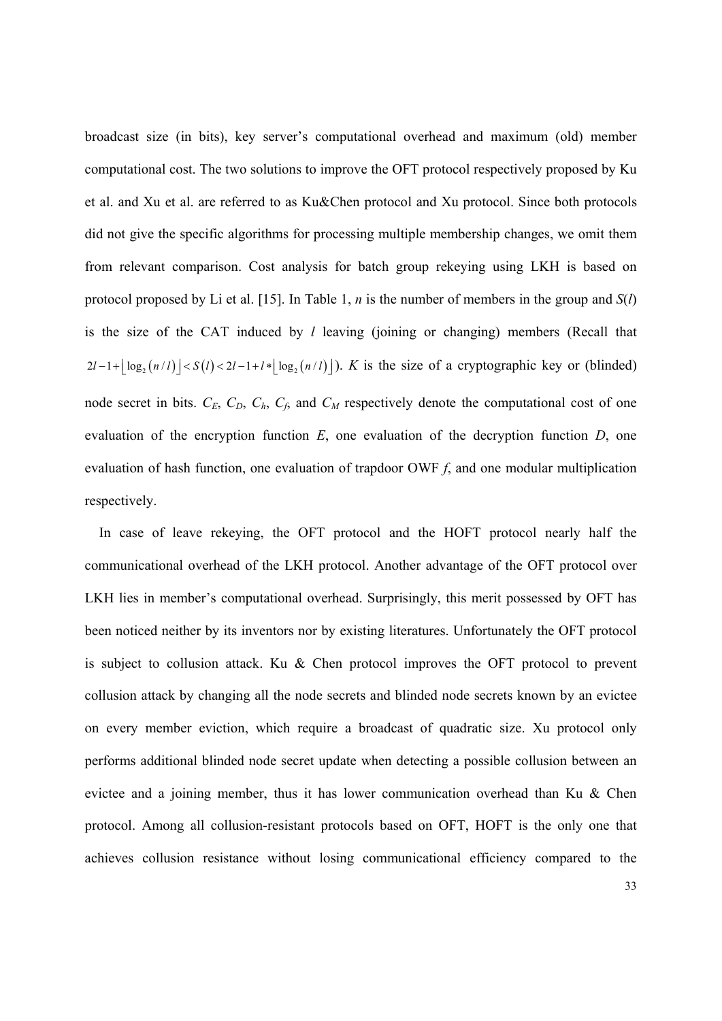broadcast size (in bits), key server's computational overhead and maximum (old) member computational cost. The two solutions to improve the OFT protocol respectively proposed by Ku et al. and Xu et al. are referred to as Ku&Chen protocol and Xu protocol. Since both protocols did not give the specific algorithms for processing multiple membership changes, we omit them from relevant comparison. Cost analysis for batch group rekeying using LKH is based on protocol proposed by Li et al. [15]. In Table 1, *n* is the number of members in the group and *S*(*l*) is the size of the CAT induced by *l* leaving (joining or changing) members (Recall that  $2l-1+|\log_2(n/l)| < S(l) < 2l-1+l*|\log_2(n/l)|$ ). *K* is the size of a cryptographic key or (blinded) node secret in bits.  $C_E$ ,  $C_D$ ,  $C_h$ ,  $C_f$ , and  $C_M$  respectively denote the computational cost of one evaluation of the encryption function *E*, one evaluation of the decryption function *D*, one evaluation of hash function, one evaluation of trapdoor OWF *f*, and one modular multiplication respectively.

In case of leave rekeying, the OFT protocol and the HOFT protocol nearly half the communicational overhead of the LKH protocol. Another advantage of the OFT protocol over LKH lies in member's computational overhead. Surprisingly, this merit possessed by OFT has been noticed neither by its inventors nor by existing literatures. Unfortunately the OFT protocol is subject to collusion attack. Ku  $\&$  Chen protocol improves the OFT protocol to prevent collusion attack by changing all the node secrets and blinded node secrets known by an evictee on every member eviction, which require a broadcast of quadratic size. Xu protocol only performs additional blinded node secret update when detecting a possible collusion between an evictee and a joining member, thus it has lower communication overhead than Ku & Chen protocol. Among all collusion-resistant protocols based on OFT, HOFT is the only one that achieves collusion resistance without losing communicational efficiency compared to the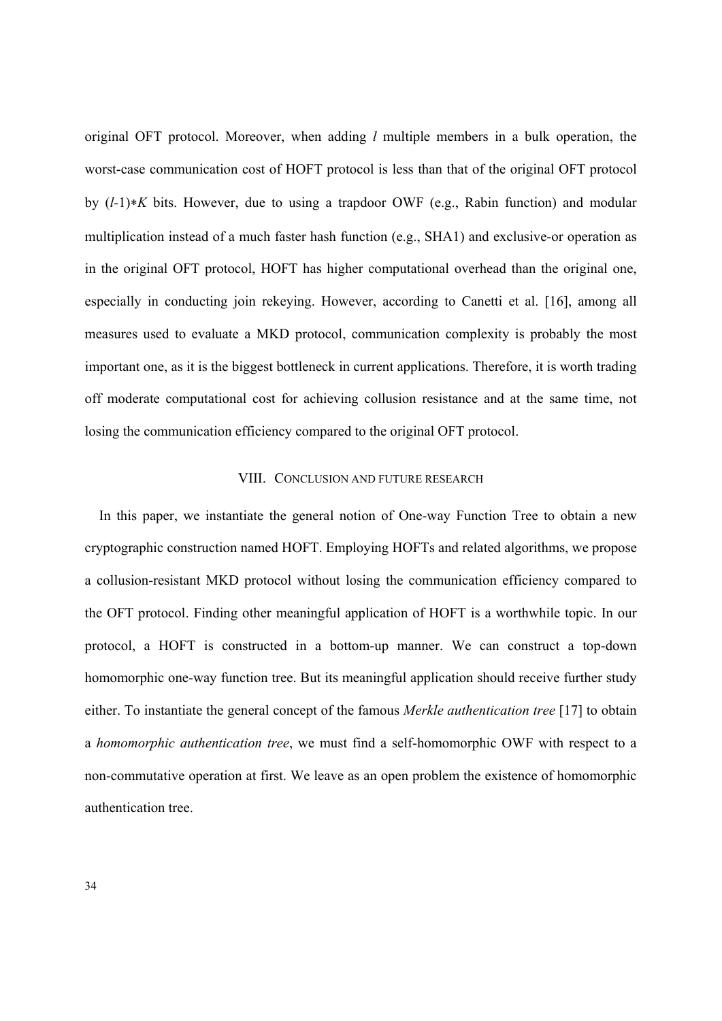original OFT protocol. Moreover, when adding *l* multiple members in a bulk operation, the worst-case communication cost of HOFT protocol is less than that of the original OFT protocol by  $(l-1)*K$  bits. However, due to using a trapdoor OWF (e.g., Rabin function) and modular multiplication instead of a much faster hash function (e.g., SHA1) and exclusive-or operation as in the original OFT protocol, HOFT has higher computational overhead than the original one, especially in conducting join rekeying. However, according to Canetti et al. [16], among all measures used to evaluate a MKD protocol, communication complexity is probably the most important one, as it is the biggest bottleneck in current applications. Therefore, it is worth trading off moderate computational cost for achieving collusion resistance and at the same time, not losing the communication efficiency compared to the original OFT protocol.

## VIII. CONCLUSION AND FUTURE RESEARCH

In this paper, we instantiate the general notion of One-way Function Tree to obtain a new cryptographic construction named HOFT. Employing HOFTs and related algorithms, we propose a collusion-resistant MKD protocol without losing the communication efficiency compared to the OFT protocol. Finding other meaningful application of HOFT is a worthwhile topic. In our protocol, a HOFT is constructed in a bottom-up manner. We can construct a top-down homomorphic one-way function tree. But its meaningful application should receive further study either. To instantiate the general concept of the famous *Merkle authentication tree* [17] to obtain a *homomorphic authentication tree*, we must find a self-homomorphic OWF with respect to a non-commutative operation at first. We leave as an open problem the existence of homomorphic authentication tree.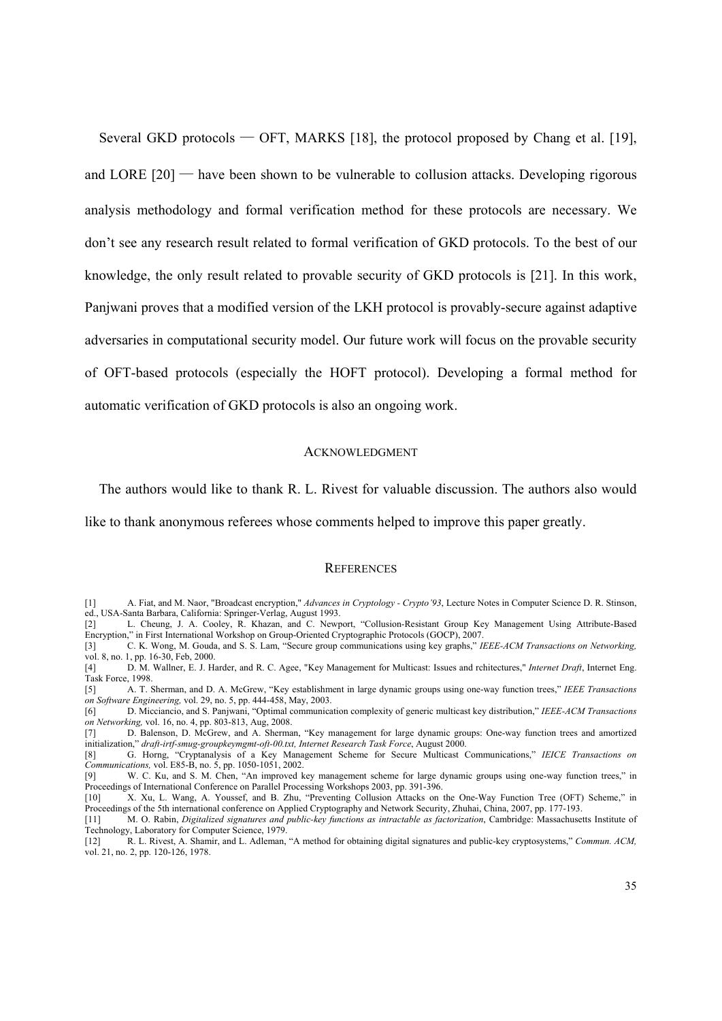Several GKD protocols — OFT, MARKS [18], the protocol proposed by Chang et al. [19], and LORE  $[20]$  — have been shown to be vulnerable to collusion attacks. Developing rigorous analysis methodology and formal verification method for these protocols are necessary. We don't see any research result related to formal verification of GKD protocols. To the best of our knowledge, the only result related to provable security of GKD protocols is [21]. In this work, Panjwani proves that a modified version of the LKH protocol is provably-secure against adaptive adversaries in computational security model. Our future work will focus on the provable security of OFT-based protocols (especially the HOFT protocol). Developing a formal method for automatic verification of GKD protocols is also an ongoing work.

#### **ACKNOWLEDGMENT**

The authors would like to thank R. L. Rivest for valuable discussion. The authors also would

like to thank anonymous referees whose comments helped to improve this paper greatly.

#### **REFERENCES**

<sup>[1]</sup> A. Fiat, and M. Naor, "Broadcast encryption," *Advances in Cryptology - Crypto'93*, Lecture Notes in Computer Science D. R. Stinson, ed., USA-Santa Barbara, California: Springer-Verlag, August 1993.

<sup>[2]</sup> L. Cheung, J. A. Cooley, R. Khazan, and C. Newport, "Collusion-Resistant Group Key Management Using Attribute-Based Encryption," in First International Workshop on Group-Oriented Cryptographic Protocols (GOCP), 2007.

<sup>[3]</sup> C. K. Wong, M. Gouda, and S. S. Lam, "Secure group communications using key graphs," *IEEE-ACM Transactions on Networking,* vol. 8, no. 1, pp. 16-30, Feb, 2000.

<sup>[4]</sup> D. M. Wallner, E. J. Harder, and R. C. Agee, "Key Management for Multicast: Issues and rchitectures," *Internet Draft*, Internet Eng. Task Force, 1998.

<sup>[5]</sup> A. T. Sherman, and D. A. McGrew, "Key establishment in large dynamic groups using one-way function trees," *IEEE Transactions on Software Engineering,* vol. 29, no. 5, pp. 444-458, May, 2003.

<sup>[6]</sup> D. Micciancio, and S. Panjwani, "Optimal communication complexity of generic multicast key distribution," *IEEE-ACM Transactions on Networking,* vol. 16, no. 4, pp. 803-813, Aug, 2008.

<sup>[7]</sup> D. Balenson, D. McGrew, and A. Sherman, "Key management for large dynamic groups: One-way function trees and amortized initialization," *draft-irtf-smug-groupkeymgmt-oft-00.txt, Internet Research Task Force*, August 2000.

<sup>[8]</sup> G. Horng, "Cryptanalysis of a Key Management Scheme for Secure Multicast Communications," *IEICE Transactions on Communications,* vol. E85-B, no. 5, pp. 1050-1051, 2002.

<sup>[9]</sup> W. C. Ku, and S. M. Chen, "An improved key management scheme for large dynamic groups using one-way function trees," in Proceedings of International Conference on Parallel Processing Workshops 2003, pp. 391-396.

<sup>[10]</sup> X. Xu, L. Wang, A. Youssef, and B. Zhu, "Preventing Collusion Attacks on the One-Way Function Tree (OFT) Scheme," in Proceedings of the 5th international conference on Applied Cryptography and Network Security, Zhuhai, China, 2007, pp. 177-193.

<sup>[11]</sup> M. O. Rabin, *Digitalized signatures and public-key functions as intractable as factorization*, Cambridge: Massachusetts Institute of Technology, Laboratory for Computer Science, 1979. [12] R. L. Rivest, A. Shamir, and L. Adleman, "A method for obtaining digital signatures and public-key cryptosystems," *Commun. ACM,*

vol. 21, no. 2, pp. 120-126, 1978.